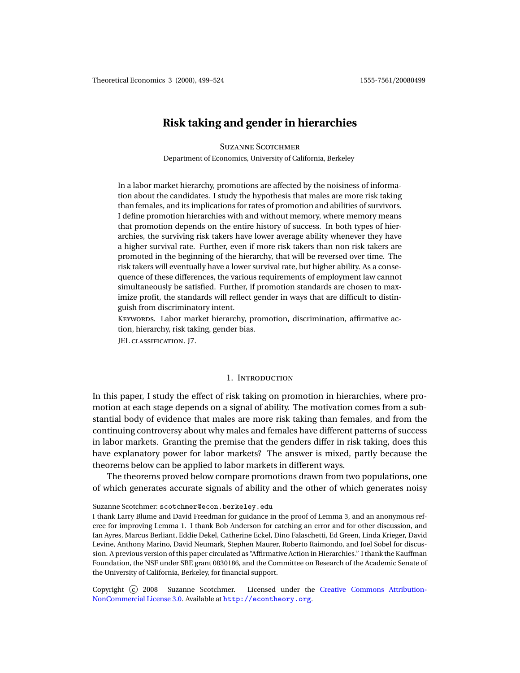# **Risk taking and gender in hierarchies**

# **SUZANNE SCOTCHMER**

Department of Economics, University of California, Berkeley

In a labor market hierarchy, promotions are affected by the noisiness of information about the candidates. I study the hypothesis that males are more risk taking than females, and its implications for rates of promotion and abilities of survivors. I define promotion hierarchies with and without memory, where memory means that promotion depends on the entire history of success. In both types of hierarchies, the surviving risk takers have lower average ability whenever they have a higher survival rate. Further, even if more risk takers than non risk takers are promoted in the beginning of the hierarchy, that will be reversed over time. The risk takers will eventually have a lower survival rate, but higher ability. As a consequence of these differences, the various requirements of employment law cannot simultaneously be satisfied. Further, if promotion standards are chosen to maximize profit, the standards will reflect gender in ways that are difficult to distinguish from discriminatory intent.

KEYWORDS. Labor market hierarchy, promotion, discrimination, affirmative action, hierarchy, risk taking, gender bias.

JEL CLASSIFICATION. J7.

## 1. INTRODUCTION

In this paper, I study the effect of risk taking on promotion in hierarchies, where promotion at each stage depends on a signal of ability. The motivation comes from a substantial body of evidence that males are more risk taking than females, and from the continuing controversy about why males and females have different patterns of success in labor markets. Granting the premise that the genders differ in risk taking, does this have explanatory power for labor markets? The answer is mixed, partly because the theorems below can be applied to labor markets in different ways.

The theorems proved below compare promotions drawn from two populations, one of which generates accurate signals of ability and the other of which generates noisy

Suzanne Scotchmer: scotchmer@econ.berkeley.edu

I thank Larry Blume and David Freedman for guidance in the proof of Lemma 3, and an anonymous referee for improving Lemma 1. I thank Bob Anderson for catching an error and for other discussion, and Ian Ayres, Marcus Berliant, Eddie Dekel, Catherine Eckel, Dino Falaschetti, Ed Green, Linda Krieger, David Levine, Anthony Marino, David Neumark, Stephen Maurer, Roberto Raimondo, and Joel Sobel for discussion. A previous version of this paper circulated as "Affirmative Action in Hierarchies." I thank the Kauffman Foundation, the NSF under SBE grant 0830186, and the Committee on Research of the Academic Senate of the University of California, Berkeley, for financial support.

Copyright (c) 2008 Suzanne Scotchmer. Licensed under the [Creative Commons Attribution-](http://creativecommons.org/licenses/by-nc/3.0)[NonCommercial License 3.0.](http://creativecommons.org/licenses/by-nc/3.0) Available at <http://econtheory.org>.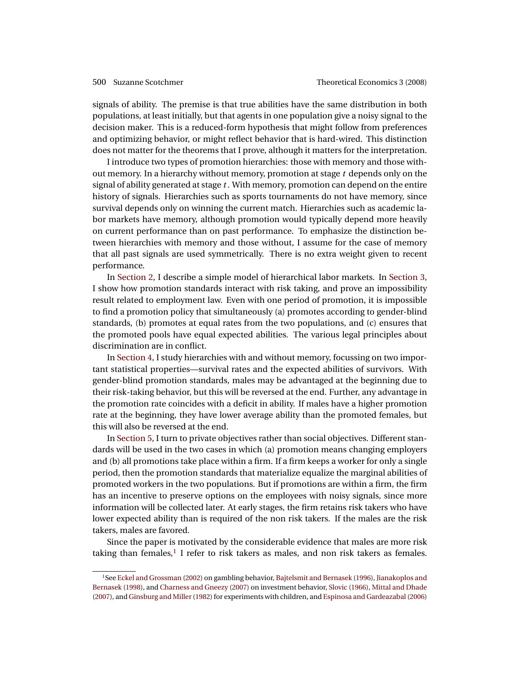<span id="page-1-1"></span>signals of ability. The premise is that true abilities have the same distribution in both populations, at least initially, but that agents in one population give a noisy signal to the decision maker. This is a reduced-form hypothesis that might follow from preferences and optimizing behavior, or might reflect behavior that is hard-wired. This distinction does not matter for the theorems that I prove, although it matters for the interpretation.

I introduce two types of promotion hierarchies: those with memory and those without memory. In a hierarchy without memory, promotion at stage *t* depends only on the signal of ability generated at stage *t* . With memory, promotion can depend on the entire history of signals. Hierarchies such as sports tournaments do not have memory, since survival depends only on winning the current match. Hierarchies such as academic labor markets have memory, although promotion would typically depend more heavily on current performance than on past performance. To emphasize the distinction between hierarchies with memory and those without, I assume for the case of memory that all past signals are used symmetrically. There is no extra weight given to recent performance.

In [Section 2,](#page-2-0) I describe a simple model of hierarchical labor markets. In [Section 3,](#page-5-0) I show how promotion standards interact with risk taking, and prove an impossibility result related to employment law. Even with one period of promotion, it is impossible to find a promotion policy that simultaneously (a) promotes according to gender-blind standards, (b) promotes at equal rates from the two populations, and (c) ensures that the promoted pools have equal expected abilities. The various legal principles about discrimination are in conflict.

In [Section 4,](#page-8-0) I study hierarchies with and without memory, focussing on two important statistical properties—survival rates and the expected abilities of survivors. With gender-blind promotion standards, males may be advantaged at the beginning due to their risk-taking behavior, but this will be reversed at the end. Further, any advantage in the promotion rate coincides with a deficit in ability. If males have a higher promotion rate at the beginning, they have lower average ability than the promoted females, but this will also be reversed at the end.

In [Section 5,](#page-11-0) I turn to private objectives rather than social objectives. Different standards will be used in the two cases in which (a) promotion means changing employers and (b) all promotions take place within a firm. If a firm keeps a worker for only a single period, then the promotion standards that materialize equalize the marginal abilities of promoted workers in the two populations. But if promotions are within a firm, the firm has an incentive to preserve options on the employees with noisy signals, since more information will be collected later. At early stages, the firm retains risk takers who have lower expected ability than is required of the non risk takers. If the males are the risk takers, males are favored.

Since the paper is motivated by the considerable evidence that males are more risk taking than females, $<sup>1</sup>$  $<sup>1</sup>$  $<sup>1</sup>$  I refer to risk takers as males, and non risk takers as females.</sup>

<span id="page-1-0"></span><sup>1</sup>See [Eckel and Grossman](#page-24-0) [\(2002\)](#page-24-0) on gambling behavior, [Bajtelsmit and Bernasek](#page-23-0) [\(1996\)](#page-23-0), [Jianakoplos and](#page-24-1) [Bernasek](#page-24-1) [\(1998\)](#page-24-1), and [Charness and Gneezy](#page-23-1) [\(2007\)](#page-23-1) on investment behavior, [Slovic](#page-25-0) [\(1966\)](#page-25-0), [Mittal and Dhade](#page-25-1) [\(2007\)](#page-25-1), and [Ginsburg and Miller\(1982\)](#page-24-2) for experiments with children, and [Espinosa and Gardeazabal](#page-24-3) [\(2006\)](#page-24-3)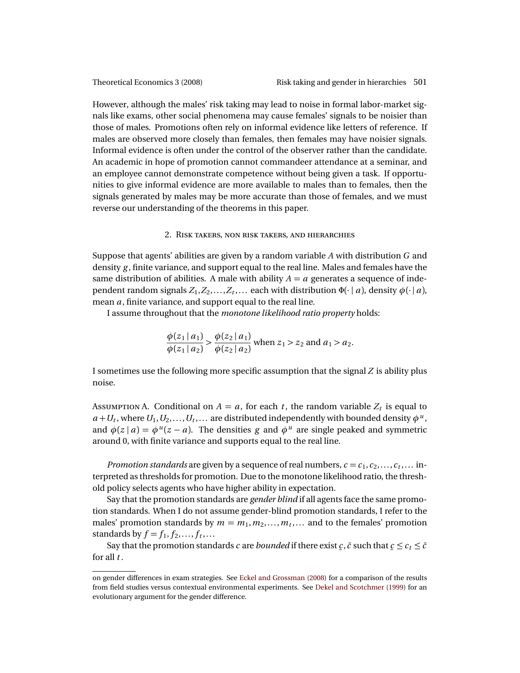<span id="page-2-2"></span>

However, although the males' risk taking may lead to noise in formal labor-market signals like exams, other social phenomena may cause females' signals to be noisier than those of males. Promotions often rely on informal evidence like letters of reference. If males are observed more closely than females, then females may have noisier signals. Informal evidence is often under the control of the observer rather than the candidate. An academic in hope of promotion cannot commandeer attendance at a seminar, and an employee cannot demonstrate competence without being given a task. If opportunities to give informal evidence are more available to males than to females, then the signals generated by males may be more accurate than those of females, and we must reverse our understanding of the theorems in this paper.

#### 2. RISK TAKERS, NON RISK TAKERS, AND HIERARCHIES

<span id="page-2-0"></span>Suppose that agents' abilities are given by a random variable *A* with distribution *G* and density *g* , finite variance, and support equal to the real line. Males and females have the same distribution of abilities. A male with ability  $A = a$  generates a sequence of independent random signals  $Z_1, Z_2, \ldots, Z_t, \ldots$  each with distribution  $\Phi(\cdot | a)$ , density  $\phi(\cdot | a)$ , mean *a*, finite variance, and support equal to the real line.

I assume throughout that the *monotone likelihood ratio property* holds:

$$
\frac{\phi(z_1 \mid a_1)}{\phi(z_1 \mid a_2)} > \frac{\phi(z_2 \mid a_1)}{\phi(z_2 \mid a_2)}
$$
 when  $z_1 > z_2$  and  $a_1 > a_2$ .

I sometimes use the following more specific assumption that the signal *Z* is ability plus noise.

<span id="page-2-1"></span>Assumption A. Conditional on  $A = a$ , for each  $t$ , the random variable  $Z_t$  is equal to  $a+U_t$ , where  $U_1, U_2, \ldots, U_t, \ldots$  are distributed independently with bounded density  $\phi^u$ , and  $\phi(z | a) = \phi^{u}(z - a)$ . The densities *g* and  $\phi^{u}$  are single peaked and symmetric around 0, with finite variance and supports equal to the real line.

*Promotion standards* are given by a sequence of real numbers,  $c = c_1, c_2, \ldots, c_t, \ldots$  interpreted as thresholds for promotion. Due to the monotone likelihood ratio, the threshold policy selects agents who have higher ability in expectation.

Say that the promotion standards are *gender blind* if all agents face the same promotion standards. When I do not assume gender-blind promotion standards, I refer to the males' promotion standards by  $m = m_1, m_2, \ldots, m_t, \ldots$  and to the females' promotion standards by  $f = f_1, f_2, \ldots, f_t, \ldots$ 

Say that the promotion standards *c* are *bounded* if there exist *c*, *č* such that  $c \leq c_t \leq \bar{c}$ for all *t* .

on gender differences in exam strategies. See [Eckel and Grossman](#page-24-4) [\(2008\)](#page-24-4) for a comparison of the results from field studies versus contextual environmental experiments. See [Dekel and Scotchmer](#page-24-5) [\(1999\)](#page-24-5) for an evolutionary argument for the gender difference.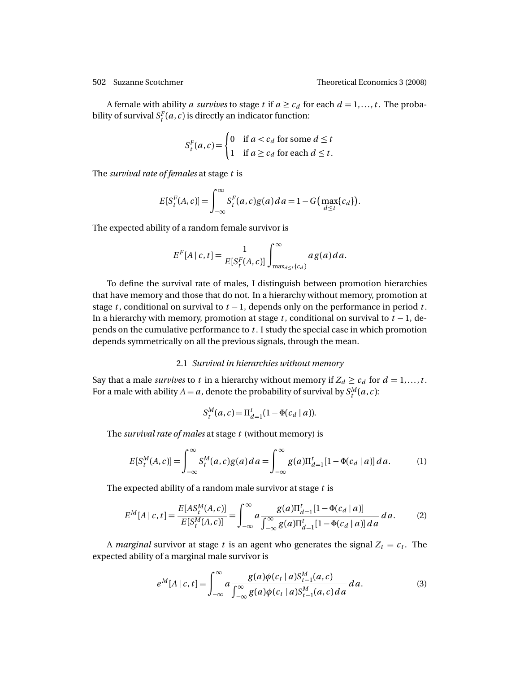A female with ability *a survives* to stage *t* if  $a \ge c_d$  for each  $d = 1, \ldots, t$ . The probability of survival  $S_t^F(a, c)$  is directly an indicator function:

$$
S_t^F(a, c) = \begin{cases} 0 & \text{if } a < c_d \text{ for some } d \le t \\ 1 & \text{if } a \ge c_d \text{ for each } d \le t. \end{cases}
$$

The *survival rate of females* at stage *t* is

$$
E[S_t^F(A,c)] = \int_{-\infty}^{\infty} S_t^F(a,c)g(a) \, da = 1 - G\big(\max_{d \le t} \{c_d\}\big).
$$

The expected ability of a random female survivor is

$$
E^{F}[A|c,t] = \frac{1}{E[S_t^F(A,c)]} \int_{\max_{d \leq t} \{c_d\}}^{\infty} a g(a) da.
$$

To define the survival rate of males, I distinguish between promotion hierarchies that have memory and those that do not. In a hierarchy without memory, promotion at stage *t*, conditional on survival to  $t - 1$ , depends only on the performance in period *t*. In a hierarchy with memory, promotion at stage  $t$ , conditional on survival to  $t - 1$ , depends on the cumulative performance to *t* . I study the special case in which promotion depends symmetrically on all the previous signals, through the mean.

### 2.1 *Survival in hierarchies without memory*

Say that a male *survives* to *t* in a hierarchy without memory if  $Z_d \ge c_d$  for  $d = 1, ..., t$ . For a male with ability  $A = a$ , denote the probability of survival by  $S_t^M(a, c)$ :

$$
S_t^M(a,c) = \Pi_{d=1}^t (1 - \Phi(c_d \mid a)).
$$

The *survival rate of males* at stage *t* (without memory) is

<span id="page-3-0"></span>
$$
E[S_t^M(A, c)] = \int_{-\infty}^{\infty} S_t^M(a, c) g(a) da = \int_{-\infty}^{\infty} g(a) \Pi_{d=1}^t [1 - \Phi(c_d \mid a)] da.
$$
 (1)

The expected ability of a random male survivor at stage *t* is

<span id="page-3-1"></span>
$$
E^{M}[A|c,t] = \frac{E[AS_{t}^{M}(A,c)]}{E[S_{t}^{M}(A,c)]} = \int_{-\infty}^{\infty} a \frac{g(a)\Pi_{d=1}^{t}[1 - \Phi(c_{d} | a)]}{\int_{-\infty}^{\infty} g(a)\Pi_{d=1}^{t}[1 - \Phi(c_{d} | a)] da} da.
$$
 (2)

A *marginal* survivor at stage *t* is an agent who generates the signal  $Z_t = c_t$ . The expected ability of a marginal male survivor is

<span id="page-3-2"></span>
$$
e^M[A \mid c, t] = \int_{-\infty}^{\infty} a \frac{g(a)\phi(c_t \mid a)S_{t-1}^M(a, c)}{\int_{-\infty}^{\infty} g(a)\phi(c_t \mid a)S_{t-1}^M(a, c) da} da.
$$
 (3)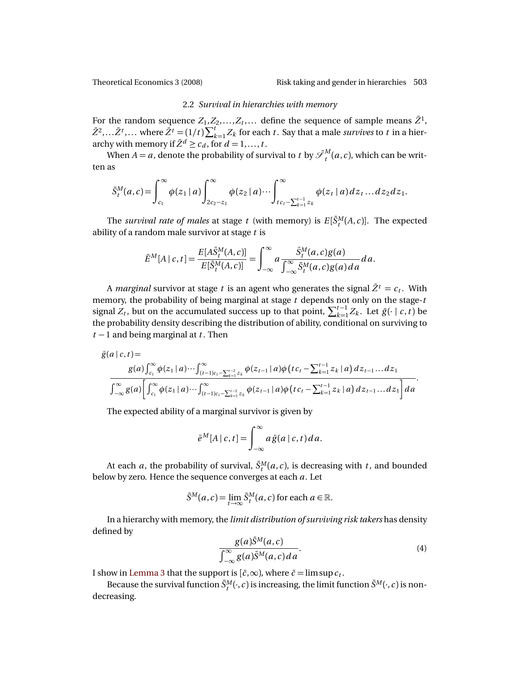### 2.2 *Survival in hierarchies with memory*

For the random sequence  $Z_1, Z_2, \ldots, Z_t, \ldots$  define the sequence of sample means  $\bar{Z}^1$ ,  $\bar{Z}^2$ ,... $\bar{Z}^t$ ,... where  $\bar{Z}^t = (1/t)\sum_{k=1}^t Z_k$  for each *t*. Say that a male *survives* to *t* in a hierarchy with memory if  $\bar{Z}^d \geq c_d$ , for  $d = 1, ..., t$ .

When  $A = a$ , denote the probability of survival to  $t$  by  $\mathscr{S}^{M}_{t}$  $t_t^M(a,c)$ , which can be written as

$$
\bar{S}_t^M(a,c) = \int_{c_1}^{\infty} \phi(z_1 | a) \int_{2c_2 - z_1}^{\infty} \phi(z_2 | a) \cdots \int_{t c_t - \sum_{k=1}^{t-1} z_k}^{\infty} \phi(z_t | a) dz_t \dots dz_2 dz_1.
$$

The *survival rate of males* at stage *t* (with memory) is  $E[\bar{S}_t^M(A, c)]$ . The expected ability of a random male survivor at stage *t* is

$$
\bar{E}^M[A \mid c, t] = \frac{E[A\bar{S}_t^M(A, c)]}{E[\bar{S}_t^M(A, c)]} = \int_{-\infty}^{\infty} a \frac{\bar{S}_t^M(a, c)g(a)}{\int_{-\infty}^{\infty} \bar{S}_t^M(a, c)g(a)da} da.
$$

A *marginal* survivor at stage *t* is an agent who generates the signal  $\bar{Z}^t = c_t$ . With memory, the probability of being marginal at stage *t* depends not only on the stage-*t* signal  $Z_t$ , but on the accumulated success up to that point,  $\sum_{k=1}^{t-1} Z_k$ . Let  $\bar{g}(\cdot \mid c, t)$  be the probability density describing the distribution of ability, conditional on surviving to *t* − 1 and being marginal at *t* . Then

$$
\bar{g}(a \mid c, t) =
$$
\n
$$
g(a) \int_{c_1}^{\infty} \phi(z_1 \mid a) \cdots \int_{(t-1)c_t - \sum_{k=1}^{t-2} z_k}^{\infty} \phi(z_{t-1} \mid a) \phi\left(t c_t - \sum_{k=1}^{t-1} z_k \mid a\right) dz_{t-1} \cdots dz_1
$$
\n
$$
\int_{-\infty}^{\infty} g(a) \left[ \int_{c_1}^{\infty} \phi(z_1 \mid a) \cdots \int_{(t-1)c_t - \sum_{k=1}^{t-2} z_k}^{\infty} \phi(z_{t-1} \mid a) \phi\left(t c_t - \sum_{k=1}^{t-1} z_k \mid a\right) dz_{t-1} \cdots dz_1 \right] da
$$

The expected ability of a marginal survivor is given by

$$
\bar{e}^M[A\,|\,c,t] = \int_{-\infty}^{\infty} a\,\bar{g}(a\,|\,c,t)\,da.
$$

At each *a*, the probability of survival,  $\bar{S}^M_t(a,c)$ , is decreasing with *t*, and bounded below by zero. Hence the sequence converges at each *a*. Let

$$
\bar{S}^M(a,c) = \lim_{t \to \infty} \bar{S}^M_t(a,c)
$$
 for each  $a \in \mathbb{R}$ .

In a hierarchy with memory, the *limit distribution of surviving risk takers* has density defined by

<span id="page-4-0"></span>
$$
\frac{g(a)\bar{S}^M(a,c)}{\int_{-\infty}^{\infty} g(a)\bar{S}^M(a,c)da}.
$$
\n(4)

I show in [Lemma 3](#page-10-0) that the support is  $[\bar{c}, \infty)$ , where  $\bar{c} = \limsup c_t$ .

Because the survival function  $\bar{S}^M_t(\cdot, c)$  is increasing, the limit function  $\bar{S}^M(\cdot, c)$  is nondecreasing.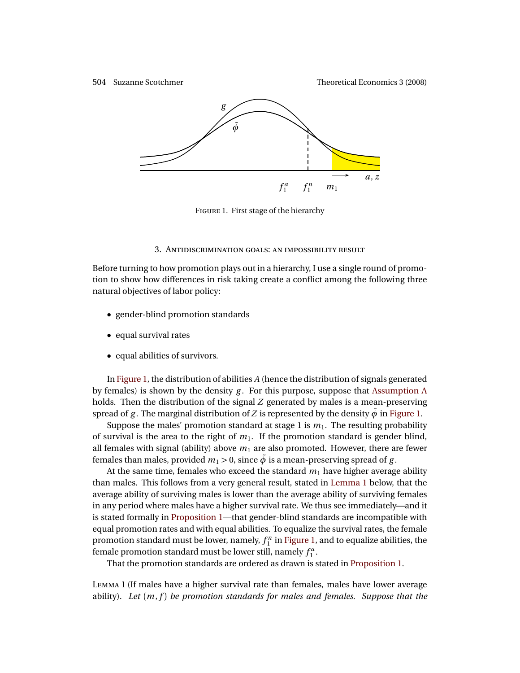<span id="page-5-1"></span>



FIGURE 1. First stage of the hierarchy

#### 3. ANTIDISCRIMINATION GOALS: AN IMPOSSIBILITY RESULT

<span id="page-5-0"></span>Before turning to how promotion plays out in a hierarchy, I use a single round of promotion to show how differences in risk taking create a conflict among the following three natural objectives of labor policy:

- gender-blind promotion standards
- equal survival rates
- equal abilities of survivors.

In [Figure 1,](#page-5-1) the distribution of abilities *A* (hence the distribution of signals generated by females) is shown by the density *g* . For this purpose, suppose that [Assumption A](#page-2-1) holds. Then the distribution of the signal *Z* generated by males is a mean-preserving spread of *g*. The marginal distribution of *Z* is represented by the density  $\tilde{\phi}$  in [Figure 1.](#page-5-1)

Suppose the males' promotion standard at stage 1 is  $m_1$ . The resulting probability of survival is the area to the right of *m*1. If the promotion standard is gender blind, all females with signal (ability) above  $m_1$  are also promoted. However, there are fewer females than males, provided  $m_1 > 0$ , since  $\tilde{\phi}$  is a mean-preserving spread of *g*.

At the same time, females who exceed the standard  $m<sub>1</sub>$  have higher average ability than males. This follows from a very general result, stated in [Lemma 1](#page-5-2) below, that the average ability of surviving males is lower than the average ability of surviving females in any period where males have a higher survival rate. We thus see immediately—and it is stated formally in [Proposition 1—](#page-6-0)that gender-blind standards are incompatible with equal promotion rates and with equal abilities. To equalize the survival rates, the female promotion standard must be lower, namely,  $f_1^n$  in [Figure 1,](#page-5-1) and to equalize abilities, the female promotion standard must be lower still, namely  $f_1^a$ .

That the promotion standards are ordered as drawn is stated in [Proposition 1.](#page-6-0)

<span id="page-5-2"></span>LEMMA 1 (If males have a higher survival rate than females, males have lower average ability). *Let* (*m*, *f* ) *be promotion standards for males and females. Suppose that the*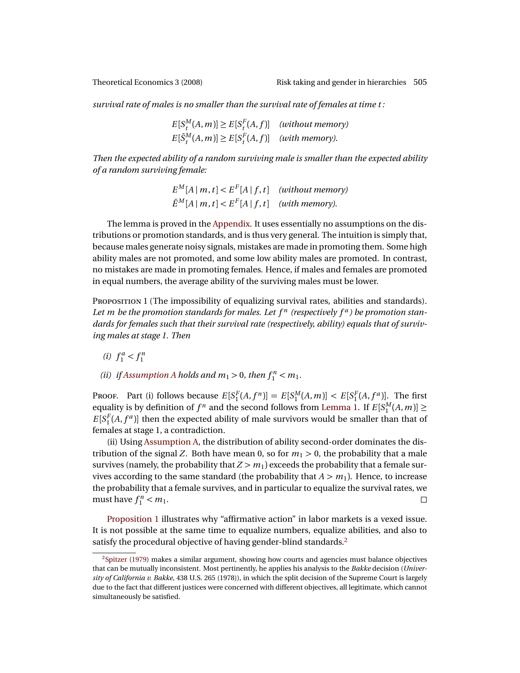<span id="page-6-2"></span>

*survival rate of males is no smaller than the survival rate of females at time t :*

 $E[S_t^M(A, m)] \ge E[S_t^F(A, f)]$  *(without memory)*  $E[\bar{S}^M_t(A,m)] \geq E[S^F_t(A,f)]$  *(with memory).* 

*Then the expected ability of a random surviving male is smaller than the expected ability of a random surviving female:*

> $E^M[A \mid m, t] < E^F[A \mid f, t]$  *(without memory)*  $\bar{E}^M[A \mid m, t] < E^F[A \mid f, t]$  *(with memory).*

The lemma is proved in the [Appendix.](#page-19-0) It uses essentially no assumptions on the distributions or promotion standards, and is thus very general. The intuition is simply that, because males generate noisy signals, mistakes are made in promoting them. Some high ability males are not promoted, and some low ability males are promoted. In contrast, no mistakes are made in promoting females. Hence, if males and females are promoted in equal numbers, the average ability of the surviving males must be lower.

<span id="page-6-0"></span>PROPOSITION 1 (The impossibility of equalizing survival rates, abilities and standards). Let m be the promotion standards for males. Let  $f<sup>n</sup>$  (respectively  $f<sup>a</sup>$ ) be promotion stan*dards for females such that their survival rate (respectively, ability) equals that of surviving males at stage 1. Then*

- (*i*)  $f_1^a < f_1^n$
- *(ii) if [Assumption A](#page-2-1) holds and*  $m_1 > 0$ *, then*  $f_1^n < m_1$ *.*

PROOF. Part (i) follows because  $E[S_1^F(A, f^n)] = E[S_1^M(A, m)] < E[S_1^F(A, f^a)]$ . The first equality is by definition of  $f^n$  and the second follows from [Lemma 1.](#page-5-2) If  $E[S_1^M(A,m)] \ge$  $E[S_1^F(A, f^a)]$  then the expected ability of male survivors would be smaller than that of females at stage 1, a contradiction.

(ii) Using [Assumption A,](#page-2-1) the distribution of ability second-order dominates the distribution of the signal *Z*. Both have mean 0, so for  $m_1 > 0$ , the probability that a male survives (namely, the probability that  $Z > m_1$ ) exceeds the probability that a female survives according to the same standard (the probability that  $A > m_1$ ). Hence, to increase the probability that a female survives, and in particular to equalize the survival rates, we must have  $f_1^n$  $\sum_{1}^{n}$  < *m*<sub>1</sub>.

[Proposition 1](#page-6-0) illustrates why "affirmative action" in labor markets is a vexed issue. It is not possible at the same time to equalize numbers, equalize abilities, and also to satisfy the procedural objective of having gender-blind standards.<sup>[2](#page-6-1)</sup>

<span id="page-6-1"></span><sup>2</sup>[Spitzer](#page-25-2) [\(1979\)](#page-25-2) makes a similar argument, showing how courts and agencies must balance objectives that can be mutually inconsistent. Most pertinently, he applies his analysis to the *Bakke* decision (*University of California v. Bakke*, 438 U.S. 265 (1978)), in which the split decision of the Supreme Court is largely due to the fact that different justices were concerned with different objectives, all legitimate, which cannot simultaneously be satisfied.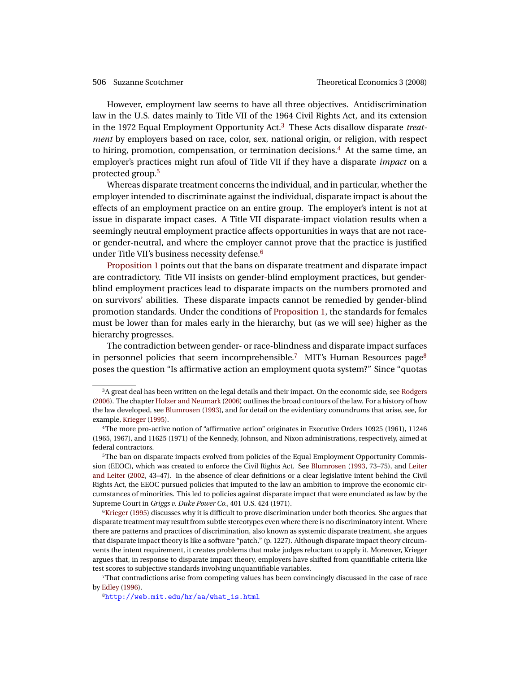<span id="page-7-6"></span>However, employment law seems to have all three objectives. Antidiscrimination law in the U.S. dates mainly to Title VII of the 1964 Civil Rights Act, and its extension in the 1972 Equal Employment Opportunity Act.[3](#page-7-0) These Acts disallow disparate *treatment* by employers based on race, color, sex, national origin, or religion, with respect to hiring, promotion, compensation, or termination decisions.[4](#page-7-1) At the same time, an employer's practices might run afoul of Title VII if they have a disparate *impact* on a protected group.[5](#page-7-2)

Whereas disparate treatment concerns the individual, and in particular, whether the employer intended to discriminate against the individual, disparate impact is about the effects of an employment practice on an entire group. The employer's intent is not at issue in disparate impact cases. A Title VII disparate-impact violation results when a seemingly neutral employment practice affects opportunities in ways that are not raceor gender-neutral, and where the employer cannot prove that the practice is justified under Title VII's business necessity defense.[6](#page-7-3)

[Proposition 1](#page-6-0) points out that the bans on disparate treatment and disparate impact are contradictory. Title VII insists on gender-blind employment practices, but genderblind employment practices lead to disparate impacts on the numbers promoted and on survivors' abilities. These disparate impacts cannot be remedied by gender-blind promotion standards. Under the conditions of [Proposition 1,](#page-6-0) the standards for females must be lower than for males early in the hierarchy, but (as we will see) higher as the hierarchy progresses.

The contradiction between gender- or race-blindness and disparate impact surfaces in personnel policies that seem incomprehensible.<sup>[7](#page-7-4)</sup> MIT's Human Resources page<sup>[8](#page-7-5)</sup> poses the question "Is affirmative action an employment quota system?" Since "quotas

<span id="page-7-0"></span><sup>3</sup>A great deal has been written on the legal details and their impact. On the economic side, see [Rodgers](#page-25-3) [\(2006\)](#page-25-3). The chapter [Holzer and Neumark](#page-24-6) [\(2006\)](#page-24-6) outlines the broad contours of the law. For a history of how the law developed, see [Blumrosen](#page-23-2) [\(1993\)](#page-23-2), and for detail on the evidentiary conundrums that arise, see, for example, [Krieger](#page-24-7) [\(1995\)](#page-24-7).

<span id="page-7-1"></span><sup>4</sup>The more pro-active notion of "affirmative action" originates in Executive Orders 10925 (1961), 11246 (1965, 1967), and 11625 (1971) of the Kennedy, Johnson, and Nixon administrations, respectively, aimed at federal contractors.

<span id="page-7-2"></span><sup>&</sup>lt;sup>5</sup>The ban on disparate impacts evolved from policies of the Equal Employment Opportunity Commission (EEOC), which was created to enforce the Civil Rights Act. See [Blumrosen](#page-23-2) [\(1993,](#page-23-2) 73–75), and [Leiter](#page-24-8) [and Leiter](#page-24-8) [\(2002,](#page-24-8) 43–47). In the absence of clear definitions or a clear legislative intent behind the Civil Rights Act, the EEOC pursued policies that imputed to the law an ambition to improve the economic circumstances of minorities. This led to policies against disparate impact that were enunciated as law by the Supreme Court in *Griggs v. Duke Power Co.*, 401 U.S. 424 (1971).

<span id="page-7-3"></span><sup>&</sup>lt;sup>6</sup>[Krieger](#page-24-7) [\(1995\)](#page-24-7) discusses why it is difficult to prove discrimination under both theories. She argues that disparate treatment may result from subtle stereotypes even where there is no discriminatory intent. Where there are patterns and practices of discrimination, also known as systemic disparate treatment, she argues that disparate impact theory is like a software "patch," (p. 1227). Although disparate impact theory circumvents the intent requirement, it creates problems that make judges reluctant to apply it. Moreover, Krieger argues that, in response to disparate impact theory, employers have shifted from quantifiable criteria like test scores to subjective standards involving unquantifiable variables.

<span id="page-7-4"></span><sup>7</sup>That contradictions arise from competing values has been convincingly discussed in the case of race by [Edley](#page-24-9) [\(1996\)](#page-24-9).

<span id="page-7-5"></span><sup>8</sup>[http://web.mit.edu/hr/aa/what\\_is.html](http://web.mit.edu/hr/aa/what_is.html)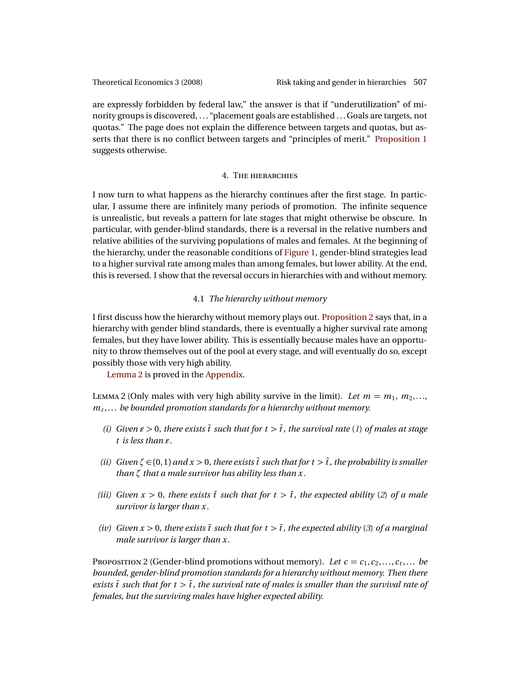are expressly forbidden by federal law," the answer is that if "underutilization" of minority groups is discovered, . . . "placement goals are established . . . Goals are targets, not quotas." The page does not explain the difference between targets and quotas, but asserts that there is no conflict between targets and "principles of merit." [Proposition 1](#page-6-0) suggests otherwise.

# **4. THE HIERARCHIES**

<span id="page-8-0"></span>I now turn to what happens as the hierarchy continues after the first stage. In particular, I assume there are infinitely many periods of promotion. The infinite sequence is unrealistic, but reveals a pattern for late stages that might otherwise be obscure. In particular, with gender-blind standards, there is a reversal in the relative numbers and relative abilities of the surviving populations of males and females. At the beginning of the hierarchy, under the reasonable conditions of [Figure 1,](#page-5-1) gender-blind strategies lead to a higher survival rate among males than among females, but lower ability. At the end, this is reversed. I show that the reversal occurs in hierarchies with and without memory.

# 4.1 *The hierarchy without memory*

I first discuss how the hierarchy without memory plays out. [Proposition 2](#page-8-1) says that, in a hierarchy with gender blind standards, there is eventually a higher survival rate among females, but they have lower ability. This is essentially because males have an opportunity to throw themselves out of the pool at every stage, and will eventually do so, except possibly those with very high ability.

[Lemma 2](#page-8-2) is proved in the [Appendix.](#page-19-0)

<span id="page-8-2"></span>LEMMA 2 (Only males with very high ability survive in the limit). Let  $m = m_1, m_2, \ldots$ *m<sup>t</sup>* ,... *be bounded promotion standards for a hierarchy without memory.*

- *(i) Given*  $\varepsilon > 0$ *, there exists*  $\tilde{t}$  *such that for*  $t > \tilde{t}$ *, the survival rate* (*[1](#page-3-0)) of males at stage*  $t$  *is less than*  $\varepsilon$ *.*
- *(ii) Given*  $\zeta \in (0,1)$  *and*  $x > 0$ *, there exists*  $\tilde{t}$  *such that for*  $t > \tilde{t}$ *, the probability is smaller than ζ that a male survivor has ability less than x.*
- *(iii) Given*  $x > 0$ *, there exists*  $\tilde{t}$  *such that for*  $t > \tilde{t}$ *, the expected ability* (*[2](#page-3-1)*) *of a male survivor is larger than x.*
- *(iv) Given*  $x > 0$ *, there exists*  $\tilde{t}$  *such that for*  $t > \tilde{t}$ *, the expected ability* ([3](#page-3-2)) *of a marginal male survivor is larger than x.*

<span id="page-8-1"></span>PROPOSITION 2 (Gender-blind promotions without memory). Let  $c = c_1, c_2, \ldots, c_t, \ldots$  be *bounded, gender-blind promotion standards for a hierarchy without memory. Then there exists*  $\tilde{t}$  *such that for*  $t > \tilde{t}$ *, the survival rate of males is smaller than the survival rate of females, but the surviving males have higher expected ability.*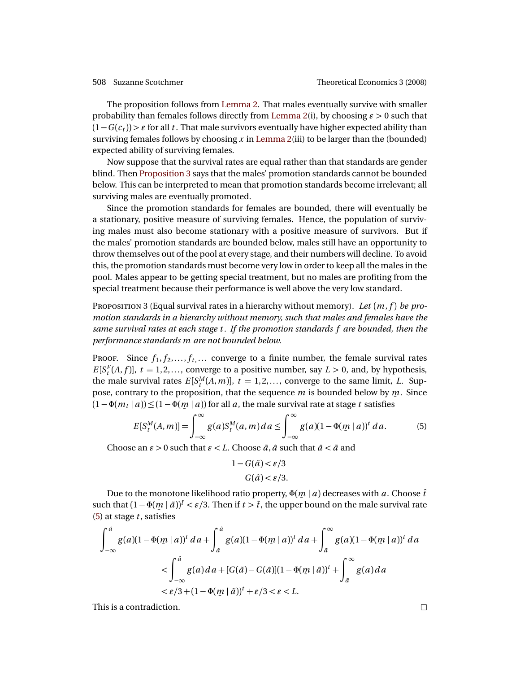The proposition follows from [Lemma 2.](#page-8-2) That males eventually survive with smaller probability than females follows directly from [Lemma 2\(](#page-8-2)i), by choosing  $\epsilon > 0$  such that  $(1-G(c<sub>t</sub>)) > \varepsilon$  for all *t*. That male survivors eventually have higher expected ability than surviving females follows by choosing *x* in [Lemma 2\(](#page-8-2)iii) to be larger than the (bounded) expected ability of surviving females.

Now suppose that the survival rates are equal rather than that standards are gender blind. Then [Proposition 3](#page-9-0) says that the males' promotion standards cannot be bounded below. This can be interpreted to mean that promotion standards become irrelevant; all surviving males are eventually promoted.

Since the promotion standards for females are bounded, there will eventually be a stationary, positive measure of surviving females. Hence, the population of surviving males must also become stationary with a positive measure of survivors. But if the males' promotion standards are bounded below, males still have an opportunity to throw themselves out of the pool at every stage, and their numbers will decline. To avoid this, the promotion standards must become very low in order to keep all the males in the pool. Males appear to be getting special treatment, but no males are profiting from the special treatment because their performance is well above the very low standard.

<span id="page-9-0"></span>PROPOSITION 3 (Equal survival rates in a hierarchy without memory). Let  $(m, f)$  be pro*motion standards in a hierarchy without memory, such that males and females have the same survival rates at each stage t . If the promotion standards f are bounded, then the performance standards m are not bounded below.*

PROOF. Since  $f_1, f_2, \ldots, f_t, \ldots$  converge to a finite number, the female survival rates  $E[S_t^F(A, f)]$ ,  $t = 1, 2, \ldots$ , converge to a positive number, say  $L > 0$ , and, by hypothesis, the male survival rates  $E[S_t^M(A, m)]$ ,  $t = 1, 2, \ldots$ , converge to the same limit, *L*. Suppose, contrary to the proposition, that the sequence *m* is bounded below by *m*. Since  $(1 - \Phi(m_t | a)) \le (1 - \Phi(m | a))$  for all *a*, the male survival rate at stage *t* satisfies

<span id="page-9-1"></span>
$$
E[S_t^M(A,m)] = \int_{-\infty}^{\infty} g(a) S_t^M(a,m) \, da \le \int_{-\infty}^{\infty} g(a) (1 - \Phi(m \mid a))^t \, da. \tag{5}
$$

Choose an  $\varepsilon > 0$  such that  $\varepsilon < L$ . Choose  $\tilde{a}$ ,  $\hat{a}$  such that  $\hat{a} < \tilde{a}$  and

$$
1 - G(\tilde{a}) < \varepsilon / 3
$$
\n
$$
G(\hat{a}) < \varepsilon / 3.
$$

Due to the monotone likelihood ratio property,  $\Phi(\underline{m} \mid a)$  decreases with  $a$  . Choose  $\hat{t}$ such that  $(1 - \Phi(m \mid \tilde{a}))^{\hat{i}} < \varepsilon/3$ . Then if  $t > \hat{t}$ , the upper bound on the male survival rate  $(5)$  at stage *t*, satisfies

$$
\int_{-\infty}^{a} g(a)(1 - \Phi(m \mid a))^{t} da + \int_{\hat{a}}^{\hat{a}} g(a)(1 - \Phi(m \mid a))^{t} da + \int_{\hat{a}}^{\infty} g(a)(1 - \Phi(m \mid a))^{t} da
$$
  
< 
$$
< \int_{-\infty}^{a} g(a) da + [G(\hat{a}) - G(\hat{a})](1 - \Phi(m \mid \hat{a}))^{t} + \int_{\hat{a}}^{\infty} g(a) da
$$
  
< 
$$
< \varepsilon/3 + (1 - \Phi(m \mid \hat{a}))^{t} + \varepsilon/3 < \varepsilon < L.
$$

This is a contradiction.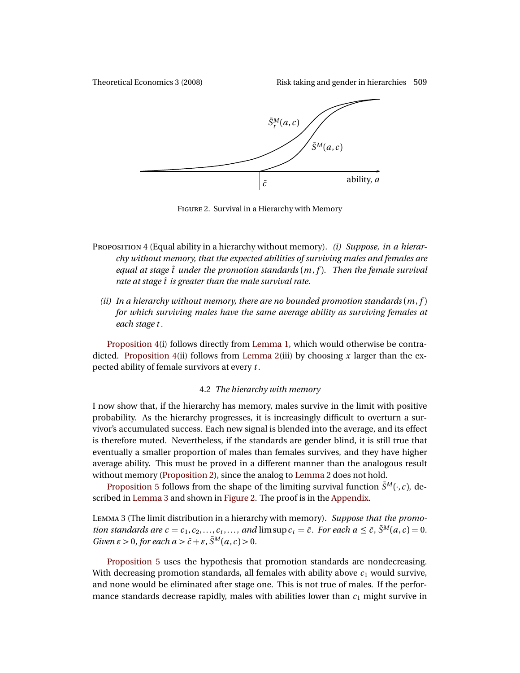<span id="page-10-2"></span>



FIGURE 2. Survival in a Hierarchy with Memory

- <span id="page-10-1"></span>PROPOSITION 4 (Equal ability in a hierarchy without memory). *(i) Suppose, in a hierarchy without memory, that the expected abilities of surviving males and females are equal at stage*  $\hat{t}$  *under the promotion standards*  $(m, f)$ *. Then the female survival rate at stage*  $\hat{t}$  *is greater than the male survival rate.* 
	- *(ii) In a hierarchy without memory, there are no bounded promotion standards* (*m*, *f* ) *for which surviving males have the same average ability as surviving females at each stage t .*

[Proposition 4\(](#page-10-1)i) follows directly from [Lemma 1,](#page-5-2) which would otherwise be contradicted. [Proposition 4\(](#page-10-1)ii) follows from [Lemma 2\(](#page-8-2)iii) by choosing *x* larger than the expected ability of female survivors at every *t* .

# 4.2 *The hierarchy with memory*

I now show that, if the hierarchy has memory, males survive in the limit with positive probability. As the hierarchy progresses, it is increasingly difficult to overturn a survivor's accumulated success. Each new signal is blended into the average, and its effect is therefore muted. Nevertheless, if the standards are gender blind, it is still true that eventually a smaller proportion of males than females survives, and they have higher average ability. This must be proved in a different manner than the analogous result without memory [\(Proposition 2\)](#page-8-1), since the analog to [Lemma 2](#page-8-2) does not hold.

[Proposition 5](#page-11-1) follows from the shape of the limiting survival function  $\bar{S}^M(\cdot, c)$ , described in [Lemma 3](#page-10-0) and shown in [Figure 2.](#page-10-2) The proof is in the [Appendix.](#page-19-0)

<span id="page-10-0"></span>LEMMA 3 (The limit distribution in a hierarchy with memory). Suppose that the promo*tion standards are*  $c = c_1, c_2, \ldots, c_t, \ldots$ *, and*  $\limsup c_t = \overline{c}$ *. For each*  $a \leq \overline{c}$ *,*  $\overline{S}^M(a, c) = 0$ *. Given*  $\varepsilon > 0$ *, for each*  $a > \bar{c} + \varepsilon$ *,*  $\bar{S}^M(a, c) > 0$ *.* 

[Proposition 5](#page-11-1) uses the hypothesis that promotion standards are nondecreasing. With decreasing promotion standards, all females with ability above  $c_1$  would survive, and none would be eliminated after stage one. This is not true of males. If the performance standards decrease rapidly, males with abilities lower than  $c_1$  might survive in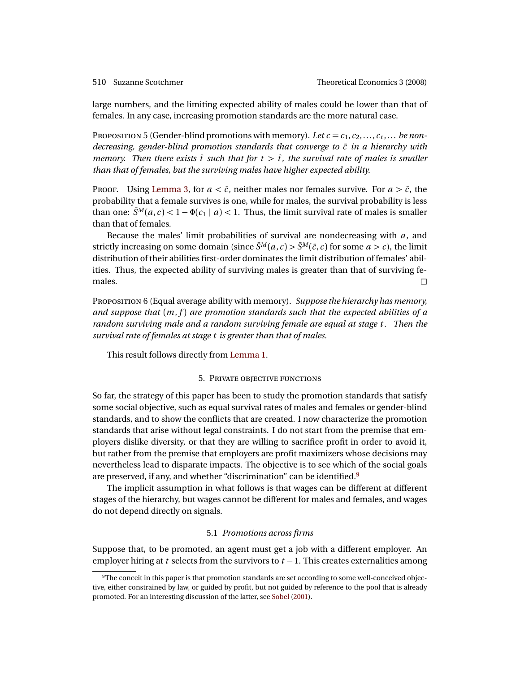<span id="page-11-3"></span>

large numbers, and the limiting expected ability of males could be lower than that of females. In any case, increasing promotion standards are the more natural case.

<span id="page-11-1"></span>PROPOSITION 5 (Gender-blind promotions with memory). Let  $c = c_1, c_2, \ldots, c_t, \ldots$  be non*decreasing, gender-blind promotion standards that converge to*  $\bar{c}$  *in a hierarchy with memory. Then there exists*  $\hat{t}$  *such that for*  $t > \hat{t}$ *, the survival rate of males is smaller than that of females, but the surviving males have higher expected ability.*

PROOF. Using [Lemma 3,](#page-10-0) for  $a < \bar{c}$ , neither males nor females survive. For  $a > \bar{c}$ , the probability that a female survives is one, while for males, the survival probability is less than one:  $\bar{S}^M(a, c) < 1 - \Phi(c_1 \mid a) < 1$ . Thus, the limit survival rate of males is smaller than that of females.

Because the males' limit probabilities of survival are nondecreasing with *a*, and strictly increasing on some domain (since  $\bar{S}^M(a, c) > \bar{S}^M(\bar{c}, c)$  for some  $a > c$ ), the limit distribution of their abilities first-order dominates the limit distribution of females' abilities. Thus, the expected ability of surviving males is greater than that of surviving females.  $\Box$ 

PROPOSITION 6 (Equal average ability with memory). Suppose the hierarchy has memory, *and suppose that* (*m*, *f* ) *are promotion standards such that the expected abilities of a random surviving male and a random surviving female are equal at stage t . Then the survival rate of females at stage t is greater than that of males.*

This result follows directly from [Lemma 1.](#page-5-2)

#### 5. PRIVATE OBJECTIVE FUNCTIONS

<span id="page-11-0"></span>So far, the strategy of this paper has been to study the promotion standards that satisfy some social objective, such as equal survival rates of males and females or gender-blind standards, and to show the conflicts that are created. I now characterize the promotion standards that arise without legal constraints. I do not start from the premise that employers dislike diversity, or that they are willing to sacrifice profit in order to avoid it, but rather from the premise that employers are profit maximizers whose decisions may nevertheless lead to disparate impacts. The objective is to see which of the social goals are preserved, if any, and whether "discrimination" can be identified.[9](#page-11-2)

The implicit assumption in what follows is that wages can be different at different stages of the hierarchy, but wages cannot be different for males and females, and wages do not depend directly on signals.

# 5.1 *Promotions across firms*

Suppose that, to be promoted, an agent must get a job with a different employer. An employer hiring at *t* selects from the survivors to *t* −1. This creates externalities among

<span id="page-11-2"></span><sup>9</sup>The conceit in this paper is that promotion standards are set according to some well-conceived objective, either constrained by law, or guided by profit, but not guided by reference to the pool that is already promoted. For an interesting discussion of the latter, see [Sobel](#page-25-4) [\(2001\)](#page-25-4).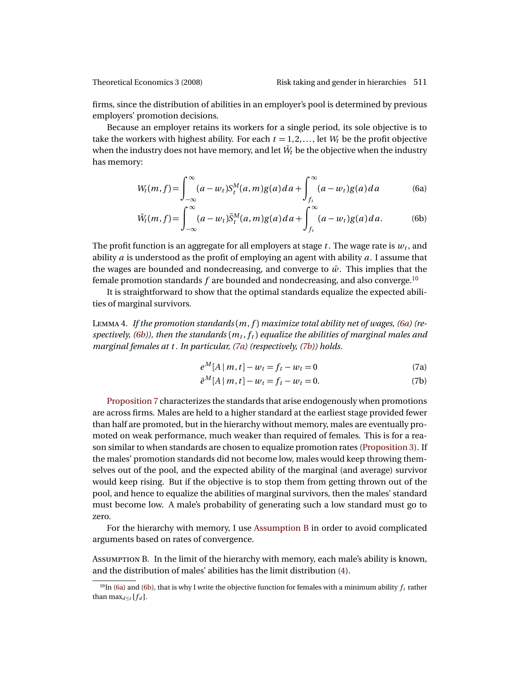firms, since the distribution of abilities in an employer's pool is determined by previous employers' promotion decisions.

Because an employer retains its workers for a single period, its sole objective is to take the workers with highest ability. For each  $t = 1, 2, \ldots$ , let  $W_t$  be the profit objective when the industry does not have memory, and let  $\bar{W}_t$  be the objective when the industry has memory:

<span id="page-12-1"></span>
$$
W_t(m, f) = \int_{-\infty}^{\infty} (a - w_t) S_t^M(a, m) g(a) \, da + \int_{f_t}^{\infty} (a - w_t) g(a) \, da \tag{6a}
$$

$$
\bar{W}_t(m,f) = \int_{-\infty}^{\infty} (a - w_t) \bar{S}_t^M(a,m) g(a) \, da + \int_{f_t}^{\infty} (a - w_t) g(a) \, da. \tag{6b}
$$

The profit function is an aggregate for all employers at stage  $t$  . The wage rate is  $w_t$  , and ability *a* is understood as the profit of employing an agent with ability *a*. I assume that the wages are bounded and nondecreasing, and converge to  $\bar{w}$ . This implies that the female promotion standards *f* are bounded and nondecreasing, and also converge.[10](#page-12-0)

It is straightforward to show that the optimal standards equalize the expected abilities of marginal survivors.

L 4. *If the promotion standards* (*m*, *f* ) *maximize total ability net of wages, [\(6a\)](#page-12-1) (re* $s$  pectively, [\(6b\)](#page-12-2)), then the standards  $(m_t, f_t)$  equalize the abilities of marginal males and *marginal females at t . In particular, [\(7a\)](#page-12-3) (respectively, [\(7b\)](#page-12-4)) holds.*

<span id="page-12-4"></span><span id="page-12-3"></span><span id="page-12-2"></span>
$$
e^{M}[A|m, t] - w_t = f_t - w_t = 0
$$
\n(7a)

$$
\bar{e}^M[A \mid m, t] - w_t = f_t - w_t = 0. \tag{7b}
$$

[Proposition 7](#page-13-0) characterizes the standards that arise endogenously when promotions are across firms. Males are held to a higher standard at the earliest stage provided fewer than half are promoted, but in the hierarchy without memory, males are eventually promoted on weak performance, much weaker than required of females. This is for a reason similar to when standards are chosen to equalize promotion rates [\(Proposition 3\)](#page-9-0). If the males' promotion standards did not become low, males would keep throwing themselves out of the pool, and the expected ability of the marginal (and average) survivor would keep rising. But if the objective is to stop them from getting thrown out of the pool, and hence to equalize the abilities of marginal survivors, then the males' standard must become low. A male's probability of generating such a low standard must go to zero.

For the hierarchy with memory, I use [Assumption B](#page-12-5) in order to avoid complicated arguments based on rates of convergence.

<span id="page-12-5"></span>ASSUMPTION B. In the limit of the hierarchy with memory, each male's ability is known, and the distribution of males' abilities has the limit distribution [\(4\)](#page-4-0).

<span id="page-12-0"></span> $^{10}$ In [\(6a\)](#page-12-1) and [\(6b\)](#page-12-2), that is why I write the objective function for females with a minimum ability  $f_t$  rather than  $\max_{d \leq t} \{f_d\}.$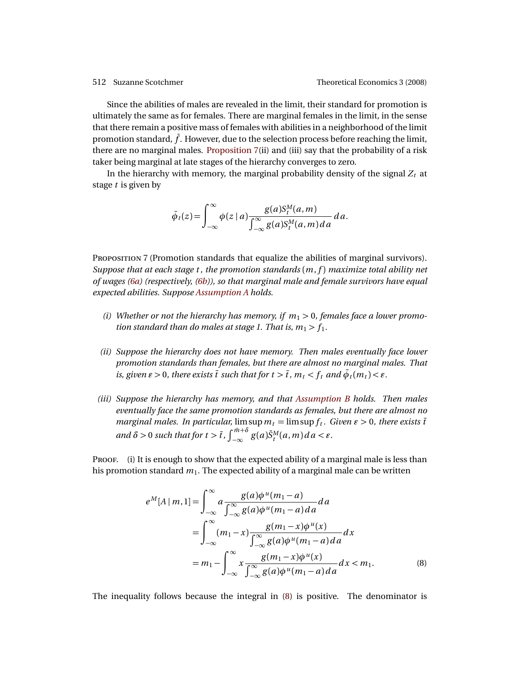Since the abilities of males are revealed in the limit, their standard for promotion is ultimately the same as for females. There are marginal females in the limit, in the sense that there remain a positive mass of females with abilities in a neighborhood of the limit promotion standard,  $\bar{f}$ . However, due to the selection process before reaching the limit, there are no marginal males. [Proposition 7\(](#page-13-0)ii) and (iii) say that the probability of a risk taker being marginal at late stages of the hierarchy converges to zero.

In the hierarchy with memory, the marginal probability density of the signal  $Z_t$  at stage *t* is given by

$$
\tilde{\phi}_t(z) = \int_{-\infty}^{\infty} \phi(z \mid a) \frac{g(a) S_t^M(a, m)}{\int_{-\infty}^{\infty} g(a) S_t^M(a, m) da} da.
$$

<span id="page-13-0"></span>PROPOSITION 7 (Promotion standards that equalize the abilities of marginal survivors). *Suppose that at each stage t , the promotion standards* (*m*, *f* ) *maximize total ability net of wages [\(6a\)](#page-12-1) (respectively, [\(6b\)](#page-12-2)), so that marginal male and female survivors have equal expected abilities. Suppose [Assumption A](#page-2-1) holds.*

- (i) Whether or not the hierarchy has memory, if  $m_1 > 0$ , females face a lower promo*tion standard than do males at stage 1. That is,*  $m_1 > f_1$ .
- *(ii) Suppose the hierarchy does not have memory. Then males eventually face lower promotion standards than females, but there are almost no marginal males. That is, given*  $\varepsilon > 0$ *, there exists*  $\tilde{t}$  *such that for*  $t > \tilde{t}$ *,*  $m_t < f_t$  *and*  $\tilde{\phi}_t(m_t) < \varepsilon$ *.*
- *(iii) Suppose the hierarchy has memory, and that [Assumption B](#page-12-5) holds. Then males eventually face the same promotion standards as females, but there are almost no marginal males. In particular,*  $\limsup m_t = \limsup f_t$ . *Given*  $\epsilon > 0$ *, there exists*  $\tilde{t}$  $and$   $\delta > 0$  such that for  $t > \tilde{t}$  ,  $\int_{-\infty}^{\tilde{m}+\delta} g(a)\bar{\mathcal{S}}_{t}^{M}(a,m)\,da < \varepsilon$  .

PROOF. (i) It is enough to show that the expected ability of a marginal male is less than his promotion standard *m*1. The expected ability of a marginal male can be written

<span id="page-13-1"></span>
$$
e^{M}[A|m,1] = \int_{-\infty}^{\infty} a \frac{g(a)\phi^{u}(m_{1}-a)}{\int_{-\infty}^{\infty} g(a)\phi^{u}(m_{1}-a)da} da
$$
  
= 
$$
\int_{-\infty}^{\infty} (m_{1}-x) \frac{g(m_{1}-x)\phi^{u}(x)}{\int_{-\infty}^{\infty} g(a)\phi^{u}(m_{1}-a)da} dx
$$
  
= 
$$
m_{1} - \int_{-\infty}^{\infty} x \frac{g(m_{1}-x)\phi^{u}(x)}{\int_{-\infty}^{\infty} g(a)\phi^{u}(m_{1}-a)da} dx < m_{1}.
$$
 (8)

The inequality follows because the integral in [\(8\)](#page-13-1) is positive. The denominator is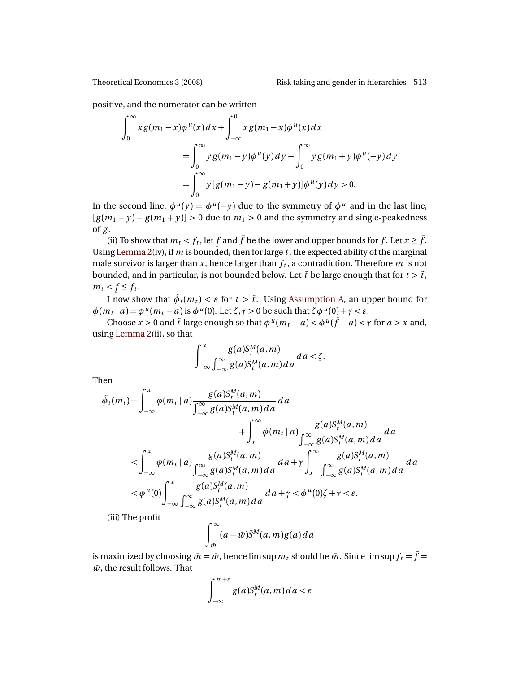positive, and the numerator can be written

$$
\int_0^{\infty} x g(m_1 - x) \phi^{u}(x) dx + \int_{-\infty}^{0} x g(m_1 - x) \phi^{u}(x) dx
$$
  
= 
$$
\int_0^{\infty} y g(m_1 - y) \phi^{u}(y) dy - \int_0^{\infty} y g(m_1 + y) \phi^{u}(-y) dy
$$
  
= 
$$
\int_0^{\infty} y [g(m_1 - y) - g(m_1 + y)] \phi^{u}(y) dy > 0.
$$

In the second line,  $\phi^{u}(y) = \phi^{u}(-y)$  due to the symmetry of  $\phi^{u}$  and in the last line,  $[g(m_1 - y) - g(m_1 + y)] > 0$  due to  $m_1 > 0$  and the symmetry and single-peakedness of *g* .

(ii) To show that  $m_t < f_t$ , let  $f$  and  $\bar{f}$  be the lower and upper bounds for  $f$ . Let  $x \geq \bar{f}$ . Using [Lemma 2\(](#page-8-2)iv), if *m* is bounded, then for large *t*, the expected ability of the marginal male survivor is larger than  $x$ , hence larger than  $f_t$ , a contradiction. Therefore  $m$  is not bounded, and in particular, is not bounded below. Let  $\tilde{t}$  be large enough that for  $t > \tilde{t}$ ,  $m_t < f \leq f_t$ .

*I* now show that  $\tilde{\phi}_t(m_t) < \varepsilon$  for  $t > \tilde{t}$ . Using [Assumption A,](#page-2-1) an upper bound for  $\phi(m_t | a) = \phi^u(m_t - a)$  is  $\phi^u(0)$ . Let  $\zeta, \gamma > 0$  be such that  $\zeta \phi^u(0) + \gamma < \varepsilon$ .

Choose  $x > 0$  and  $\tilde{t}$  large enough so that  $\phi^u(m_t - a) < \phi^u(\bar{f} - a) < \gamma$  for  $a > x$  and, using [Lemma 2\(](#page-8-2)ii), so that

$$
\int_{-\infty}^{x} \frac{g(a)S_t^M(a,m)}{\int_{-\infty}^{\infty} g(a)S_t^M(a,m) da} da < \zeta.
$$

Then

$$
\tilde{\phi}_t(m_t) = \int_{-\infty}^x \phi(m_t | a) \frac{g(a)S_t^M(a, m)}{\int_{-\infty}^\infty g(a)S_t^M(a, m) da} da
$$
\n
$$
+ \int_x^\infty \phi(m_t | a) \frac{g(a)S_t^M(a, m)}{\int_{-\infty}^\infty g(a)S_t^M(a, m) da} da
$$
\n
$$
< \int_{-\infty}^x \phi(m_t | a) \frac{g(a)S_t^M(a, m)}{\int_{-\infty}^\infty g(a)S_t^M(a, m) da} da + \gamma \int_x^\infty \frac{g(a)S_t^M(a, m)}{\int_{-\infty}^\infty g(a)S_t^M(a, m) da} da
$$
\n
$$
< \phi^u(0) \int_{-\infty}^x \frac{g(a)S_t^M(a, m)}{\int_{-\infty}^\infty g(a)S_t^M(a, m) da} da + \gamma < \phi^u(0) \zeta + \gamma < \varepsilon.
$$

(iii) The profit

$$
\int_{\tilde{m}}^{\infty} (a - \bar{w}) \bar{S}^M(a, m) g(a) da
$$

is maximized by choosing  $\bar{m} = \bar{w}$ , hence lim sup  $m_t$  should be  $\bar{m}$ . Since lim sup  $f_t = \bar{f}$  $\bar{w}$ , the result follows. That

$$
\int_{-\infty}^{\bar{m}+\varepsilon} g(a)\bar{S}_t^M(a,m)da < \varepsilon
$$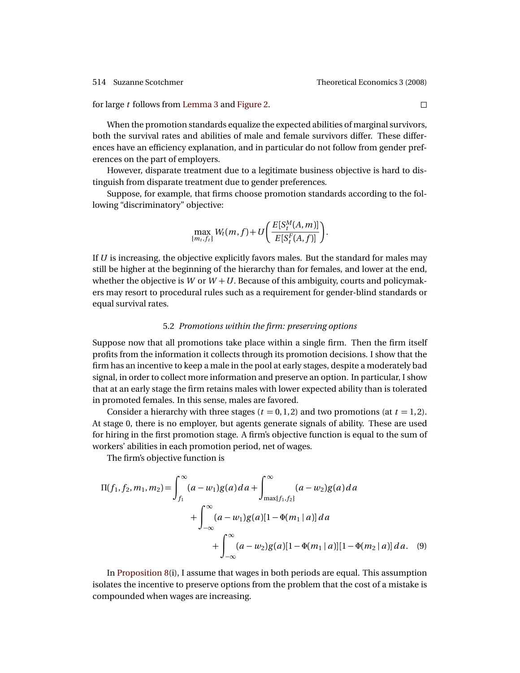### for large *t* follows from [Lemma 3](#page-10-0) and [Figure 2.](#page-10-2)

When the promotion standards equalize the expected abilities of marginal survivors, both the survival rates and abilities of male and female survivors differ. These differences have an efficiency explanation, and in particular do not follow from gender preferences on the part of employers.

However, disparate treatment due to a legitimate business objective is hard to distinguish from disparate treatment due to gender preferences.

Suppose, for example, that firms choose promotion standards according to the following "discriminatory" objective:

$$
\max_{\{m_t, f_t\}} W_t(m, f) + U\bigg(\frac{E[S_t^M(A, m)]}{E[S_t^F(A, f)]}\bigg).
$$

If *U* is increasing, the objective explicitly favors males. But the standard for males may still be higher at the beginning of the hierarchy than for females, and lower at the end, whether the objective is *W* or  $W + U$ . Because of this ambiguity, courts and policymakers may resort to procedural rules such as a requirement for gender-blind standards or equal survival rates.

# 5.2 *Promotions within the firm: preserving options*

Suppose now that all promotions take place within a single firm. Then the firm itself profits from the information it collects through its promotion decisions. I show that the firm has an incentive to keep a male in the pool at early stages, despite a moderately bad signal, in order to collect more information and preserve an option. In particular, I show that at an early stage the firm retains males with lower expected ability than is tolerated in promoted females. In this sense, males are favored.

Consider a hierarchy with three stages  $(t = 0, 1, 2)$  and two promotions (at  $t = 1, 2$ ). At stage 0, there is no employer, but agents generate signals of ability. These are used for hiring in the first promotion stage. A firm's objective function is equal to the sum of workers' abilities in each promotion period, net of wages.

<span id="page-15-0"></span>The firm's objective function is

$$
\Pi(f_1, f_2, m_1, m_2) = \int_{f_1}^{\infty} (a - w_1)g(a)da + \int_{\max\{f_1, f_2\}}^{\infty} (a - w_2)g(a)da
$$
  
+ 
$$
\int_{-\infty}^{\infty} (a - w_1)g(a)[1 - \Phi(m_1 | a)]da
$$
  
+ 
$$
\int_{-\infty}^{\infty} (a - w_2)g(a)[1 - \Phi(m_1 | a)][1 - \Phi(m_2 | a)]da.
$$
 (9)

In [Proposition 8\(](#page-16-0)i), I assume that wages in both periods are equal. This assumption isolates the incentive to preserve options from the problem that the cost of a mistake is compounded when wages are increasing.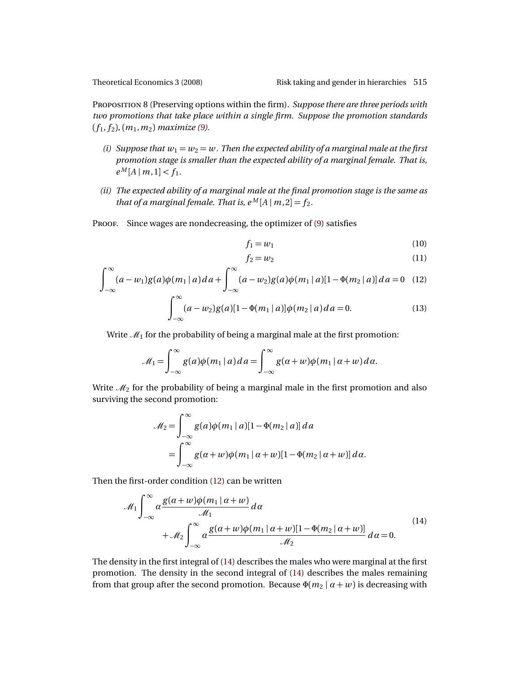<span id="page-16-0"></span>PROPOSITION 8 (Preserving options within the firm). Suppose there are three periods with *two promotions that take place within a single firm. Suppose the promotion standards*  $(f_1, f_2), (m_1, m_2)$  *maximize* [\(9\)](#page-15-0)*.* 

- *(i) Suppose that*  $w_1 = w_2 = w$ . *Then the expected ability of a marginal male at the first promotion stage is smaller than the expected ability of a marginal female. That is,*  $e^M[A \mid m, 1] < f_1$ .
- *(ii) The expected ability of a marginal male at the final promotion stage is the same as that of a marginal female. That is,*  $e^M[A \mid m, 2] = f_2$ .
- PROOF. Since wages are nondecreasing, the optimizer of [\(9\)](#page-15-0) satisfies

<span id="page-16-4"></span><span id="page-16-3"></span>
$$
f_1 = w_1 \tag{10}
$$

<span id="page-16-5"></span><span id="page-16-1"></span>
$$
f_2 = w_2 \tag{11}
$$

$$
\int_{-\infty}^{\infty} (a - w_1) g(a) \phi(m_1 | a) da + \int_{-\infty}^{\infty} (a - w_2) g(a) \phi(m_1 | a) [1 - \Phi(m_2 | a)] da = 0 \quad (12)
$$

$$
\int_{-\infty}^{\infty} (a - w_2) g(a) [1 - \Phi(m_1 \mid a)] \phi(m_2 \mid a) da = 0.
$$
 (13)

Write  $\mathcal{M}_1$  for the probability of being a marginal male at the first promotion:

$$
\mathcal{M}_1 = \int_{-\infty}^{\infty} g(a)\phi(m_1 \mid a) da = \int_{-\infty}^{\infty} g(a+w)\phi(m_1 \mid a+w) da.
$$

Write  $\mathcal{M}_2$  for the probability of being a marginal male in the first promotion and also surviving the second promotion:

$$
\mathcal{M}_2 = \int_{-\infty}^{\infty} g(a)\phi(m_1|a)[1 - \Phi(m_2|a)] da
$$
  
= 
$$
\int_{-\infty}^{\infty} g(\alpha + w)\phi(m_1|\alpha + w)[1 - \Phi(m_2|\alpha + w)] d\alpha.
$$

<span id="page-16-2"></span>Then the first-order condition [\(12\)](#page-16-1) can be written

$$
\mathcal{M}_1 \int_{-\infty}^{\infty} \alpha \frac{g(\alpha + w)\phi(m_1 | \alpha + w)}{\mathcal{M}_1} d\alpha + \mathcal{M}_2 \int_{-\infty}^{\infty} \alpha \frac{g(\alpha + w)\phi(m_1 | \alpha + w)[1 - \Phi(m_2 | \alpha + w)]}{\mathcal{M}_2} d\alpha = 0.
$$
\n(14)

The density in the first integral of [\(14\)](#page-16-2) describes the males who were marginal at the first promotion. The density in the second integral of [\(14\)](#page-16-2) describes the males remaining from that group after the second promotion. Because  $\Phi(m_2 | \alpha + w)$  is decreasing with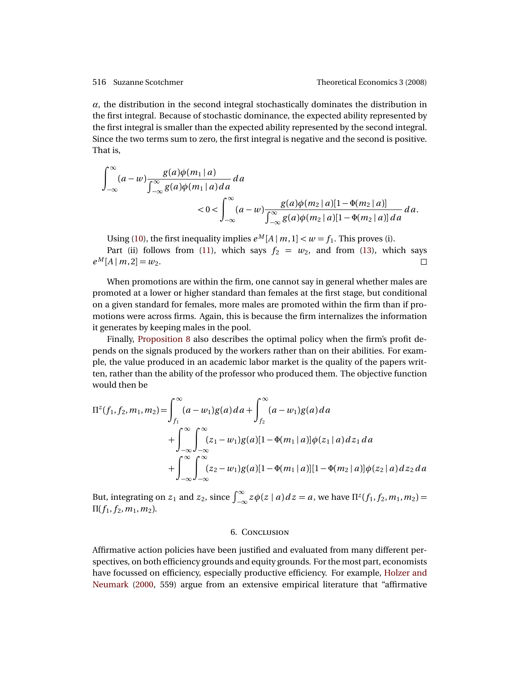<span id="page-17-0"></span>*α*, the distribution in the second integral stochastically dominates the distribution in the first integral. Because of stochastic dominance, the expected ability represented by the first integral is smaller than the expected ability represented by the second integral. Since the two terms sum to zero, the first integral is negative and the second is positive. That is,

$$
\int_{-\infty}^{\infty} (a - w) \frac{g(a)\phi(m_1 | a)}{\int_{-\infty}^{\infty} g(a)\phi(m_1 | a) da} da
$$
  
< 
$$
< 0 < \int_{-\infty}^{\infty} (a - w) \frac{g(a)\phi(m_2 | a)[1 - \Phi(m_2 | a)]}{\int_{-\infty}^{\infty} g(a)\phi(m_2 | a)[1 - \Phi(m_2 | a)] da} da.
$$

Using [\(10\)](#page-16-3), the first inequality implies  $e^M[A | m, 1] < w = f_1$ . This proves (i).

Part (ii) follows from [\(11\)](#page-16-4), which says  $f_2 = w_2$ , and from [\(13\)](#page-16-5), which says  $e^M[A \mid m, 2] = w_2.$ 

When promotions are within the firm, one cannot say in general whether males are promoted at a lower or higher standard than females at the first stage, but conditional on a given standard for females, more males are promoted within the firm than if promotions were across firms. Again, this is because the firm internalizes the information it generates by keeping males in the pool.

Finally, [Proposition 8](#page-16-0) also describes the optimal policy when the firm's profit depends on the signals produced by the workers rather than on their abilities. For example, the value produced in an academic labor market is the quality of the papers written, rather than the ability of the professor who produced them. The objective function would then be

$$
\Pi^{z}(f_{1},f_{2},m_{1},m_{2}) = \int_{f_{1}}^{\infty} (a-w_{1})g(a)da + \int_{f_{2}}^{\infty} (a-w_{1})g(a)da
$$
  
+ 
$$
\int_{-\infty}^{\infty} \int_{-\infty}^{\infty} (z_{1}-w_{1})g(a)[1-\Phi(m_{1}|a)]\phi(z_{1}|a)dz_{1}da
$$
  
+ 
$$
\int_{-\infty}^{\infty} \int_{-\infty}^{\infty} (z_{2}-w_{1})g(a)[1-\Phi(m_{1}|a)][1-\Phi(m_{2}|a)]\phi(z_{2}|a)dz_{2}da
$$

But, integrating on  $z_1$  and  $z_2$ , since  $\int_{-\infty}^{\infty} z\phi(z \mid a) dz = a$ , we have  $\Pi^z(f_1, f_2, m_1, m_2) = a$  $\Pi(f_1, f_2, m_1, m_2)$ .

#### **6. CONCLUSION**

Affirmative action policies have been justified and evaluated from many different perspectives, on both efficiency grounds and equity grounds. For the most part, economists have focussed on efficiency, especially productive efficiency. For example, [Holzer and](#page-24-10) [Neumark](#page-24-10) [\(2000,](#page-24-10) 559) argue from an extensive empirical literature that "affirmative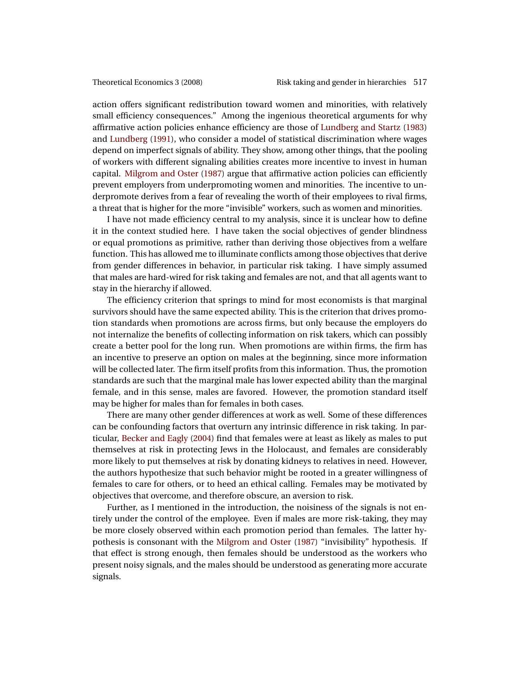<span id="page-18-0"></span>action offers significant redistribution toward women and minorities, with relatively small efficiency consequences." Among the ingenious theoretical arguments for why affirmative action policies enhance efficiency are those of [Lundberg and Startz](#page-24-11) [\(1983\)](#page-24-11) and [Lundberg](#page-24-12) [\(1991\)](#page-24-12), who consider a model of statistical discrimination where wages depend on imperfect signals of ability. They show, among other things, that the pooling of workers with different signaling abilities creates more incentive to invest in human capital. [Milgrom and Oster](#page-25-5) [\(1987\)](#page-25-5) argue that affirmative action policies can efficiently prevent employers from underpromoting women and minorities. The incentive to underpromote derives from a fear of revealing the worth of their employees to rival firms, a threat that is higher for the more "invisible" workers, such as women and minorities.

I have not made efficiency central to my analysis, since it is unclear how to define it in the context studied here. I have taken the social objectives of gender blindness or equal promotions as primitive, rather than deriving those objectives from a welfare function. This has allowed me to illuminate conflicts among those objectives that derive from gender differences in behavior, in particular risk taking. I have simply assumed that males are hard-wired for risk taking and females are not, and that all agents want to stay in the hierarchy if allowed.

The efficiency criterion that springs to mind for most economists is that marginal survivors should have the same expected ability. This is the criterion that drives promotion standards when promotions are across firms, but only because the employers do not internalize the benefits of collecting information on risk takers, which can possibly create a better pool for the long run. When promotions are within firms, the firm has an incentive to preserve an option on males at the beginning, since more information will be collected later. The firm itself profits from this information. Thus, the promotion standards are such that the marginal male has lower expected ability than the marginal female, and in this sense, males are favored. However, the promotion standard itself may be higher for males than for females in both cases.

There are many other gender differences at work as well. Some of these differences can be confounding factors that overturn any intrinsic difference in risk taking. In particular, [Becker and Eagly](#page-23-3) [\(2004\)](#page-23-3) find that females were at least as likely as males to put themselves at risk in protecting Jews in the Holocaust, and females are considerably more likely to put themselves at risk by donating kidneys to relatives in need. However, the authors hypothesize that such behavior might be rooted in a greater willingness of females to care for others, or to heed an ethical calling. Females may be motivated by objectives that overcome, and therefore obscure, an aversion to risk.

Further, as I mentioned in the introduction, the noisiness of the signals is not entirely under the control of the employee. Even if males are more risk-taking, they may be more closely observed within each promotion period than females. The latter hypothesis is consonant with the [Milgrom and Oster](#page-25-5) [\(1987\)](#page-25-5) "invisibility" hypothesis. If that effect is strong enough, then females should be understood as the workers who present noisy signals, and the males should be understood as generating more accurate signals.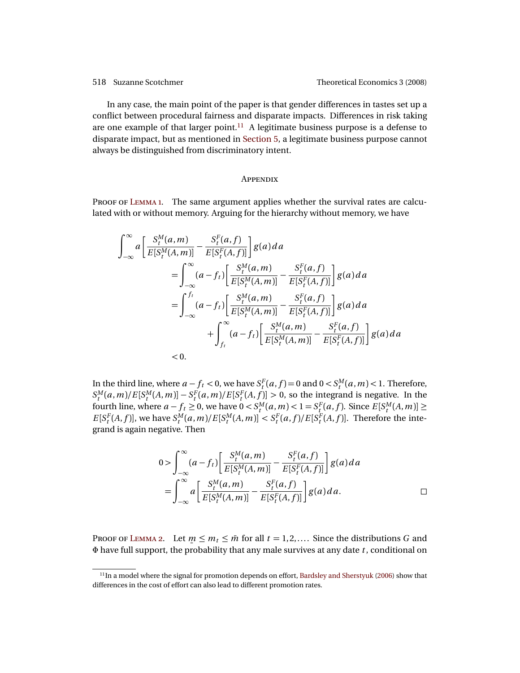<span id="page-19-2"></span>In any case, the main point of the paper is that gender differences in tastes set up a conflict between procedural fairness and disparate impacts. Differences in risk taking are one example of that larger point.<sup>[11](#page-19-1)</sup> A legitimate business purpose is a defense to disparate impact, but as mentioned in [Section 5,](#page-11-0) a legitimate business purpose cannot always be distinguished from discriminatory intent.

#### **APPENDIX**

<span id="page-19-0"></span>PROOF OF LEMMA 1. The same argument applies whether the survival rates are calculated with or without memory. Arguing for the hierarchy without memory, we have

$$
\int_{-\infty}^{\infty} a \left[ \frac{S_t^M(a, m)}{E[S_t^M(A, m)]} - \frac{S_t^F(a, f)}{E[S_t^F(A, f)]} \right] g(a) da
$$
  
\n
$$
= \int_{-\infty}^{\infty} (a - f_t) \left[ \frac{S_t^M(a, m)}{E[S_t^M(A, m)]} - \frac{S_t^F(a, f)}{E[S_t^F(A, f)]} \right] g(a) da
$$
  
\n
$$
= \int_{-\infty}^{f_t} (a - f_t) \left[ \frac{S_t^M(a, m)}{E[S_t^M(A, m)]} - \frac{S_t^F(a, f)}{E[S_t^F(A, f)]} \right] g(a) da
$$
  
\n
$$
+ \int_{f_t}^{\infty} (a - f_t) \left[ \frac{S_t^M(a, m)}{E[S_t^M(A, m)]} - \frac{S_t^F(a, f)}{E[S_t^F(A, f)]} \right] g(a) da
$$
  
\n
$$
< 0.
$$

In the third line, where  $a - f_t < 0$ , we have  $S_t^F(a, f) = 0$  and  $0 < S_t^M(a, m) < 1$ . Therefore,  $S_t^M(a,m)/E[S_t^M(A,m)] - S_t^F(a,m)/E[S_t^F(A,f)] > 0$ , so the integrand is negative. In the fourth line, where  $a - f_t \ge 0$ , we have  $0 < S_t^M(a, m) < 1 = S_t^F(a, f)$ . Since  $E[S_t^M(A, m)] \ge 1$  $E[S_t^F(A, f)]$ , we have  $S_t^M(a, m)/E[S_t^M(A, m)] < S_t^F(a, f)/E[S_t^F(A, f)]$ . Therefore the integrand is again negative. Then

$$
0 > \int_{-\infty}^{\infty} (a - f_t) \left[ \frac{S_t^M(a, m)}{E[S_t^M(A, m)]} - \frac{S_t^F(a, f)}{E[S_t^F(A, f)]} \right] g(a) da
$$
  
= 
$$
\int_{-\infty}^{\infty} a \left[ \frac{S_t^M(a, m)}{E[S_t^M(A, m)]} - \frac{S_t^F(a, f)}{E[S_t^F(A, f)]} \right] g(a) da.
$$

PROOF OF LEMMA 2. Let  $m \leq m_t \leq \bar{m}$  for all  $t = 1, 2, \ldots$ . Since the distributions *G* and  $\Phi$  have full support, the probability that any male survives at any date *t*, conditional on

<span id="page-19-1"></span><sup>11</sup>In a model where the signal for promotion depends on effort, [Bardsley and Sherstyuk](#page-23-4) [\(2006\)](#page-23-4) show that differences in the cost of effort can also lead to different promotion rates.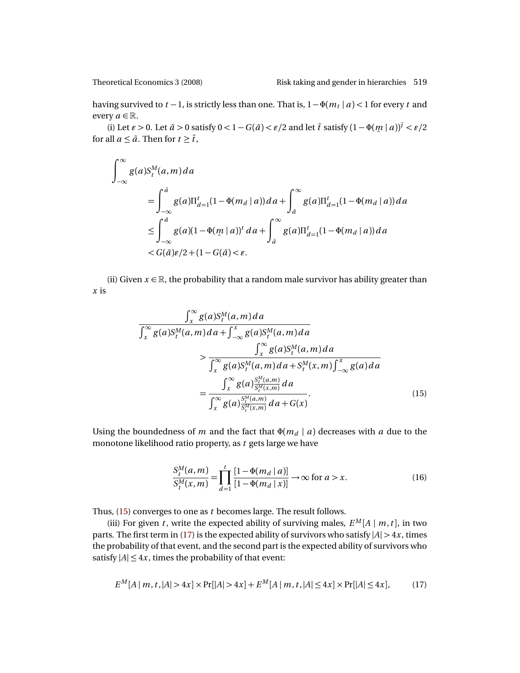having survived to *t* −1, is strictly less than one. That is, 1−Φ(*m<sup>t</sup>* | *a*) *<* 1 for every *t* and every  $a \in \mathbb{R}$ .

(i) Let  $\varepsilon > 0$ . Let  $\tilde{a} > 0$  satisfy  $0 < 1 - G(\tilde{a}) < \varepsilon/2$  and let  $\tilde{t}$  satisfy  $(1 - \Phi(m | a))^{\tilde{t}} < \varepsilon/2$ ¯ for all  $a \leq \tilde{a}$ . Then for  $t \geq \tilde{t}$ ,

$$
\int_{-\infty}^{\infty} g(a) S_t^M(a, m) da
$$
  
= 
$$
\int_{-\infty}^{\tilde{a}} g(a) \Pi_{d=1}^t (1 - \Phi(m_d | a)) da + \int_{\tilde{a}}^{\infty} g(a) \Pi_{d=1}^t (1 - \Phi(m_d | a)) da
$$
  

$$
\leq \int_{-\infty}^{\tilde{a}} g(a) (1 - \Phi(m | a))^{t} da + \int_{\tilde{a}}^{\infty} g(a) \Pi_{d=1}^t (1 - \Phi(m_d | a)) da
$$
  

$$
< G(\tilde{a}) \varepsilon/2 + (1 - G(\tilde{a}) < \varepsilon).
$$

(ii) Given  $x \in \mathbb{R}$ , the probability that a random male survivor has ability greater than *x* is

$$
\frac{\int_x^{\infty} g(a)S_t^M(a,m)da}{\int_x^{\infty} g(a)S_t^M(a,m)da + \int_{-\infty}^x g(a)S_t^M(a,m)da}
$$
\n
$$
>\frac{\int_x^{\infty} g(a)S_t^M(a,m)da}{\int_x^{\infty} g(a)S_t^M(a,m)da + S_t^M(x,m)\int_{-\infty}^x g(a)da}
$$
\n
$$
=\frac{\int_x^{\infty} g(a)\frac{S_t^M(a,m)}{S_t^M(x,m)}da}{\int_x^{\infty} g(a)\frac{S_t^M(a,m)}{S_t^M(x,m)}da + G(x)}.
$$
\n(15)

Using the boundedness of *m* and the fact that  $\Phi(m_d | a)$  decreases with *a* due to the monotone likelihood ratio property, as *t* gets large we have

<span id="page-20-2"></span><span id="page-20-0"></span>
$$
\frac{S_t^M(a,m)}{S_t^M(x,m)} = \prod_{d=1}^t \frac{[1 - \Phi(m_d \mid a)]}{[1 - \Phi(m_d \mid x)]} \to \infty \text{ for } a > x.
$$
 (16)

Thus, [\(15\)](#page-20-0) converges to one as *t* becomes large. The result follows.

(iii) For given *t*, write the expected ability of surviving males,  $E^M[A | m, t]$ , in two parts. The first term in [\(17\)](#page-20-1) is the expected ability of survivors who satisfy  $|A| > 4x$ , times the probability of that event, and the second part is the expected ability of survivors who satisfy  $|A| \le 4x$ , times the probability of that event:

<span id="page-20-1"></span>
$$
E^{M}[A|m, t, |A| > 4x] \times \Pr[|A| > 4x] + E^{M}[A|m, t, |A| \le 4x] \times \Pr[|A| \le 4x], \tag{17}
$$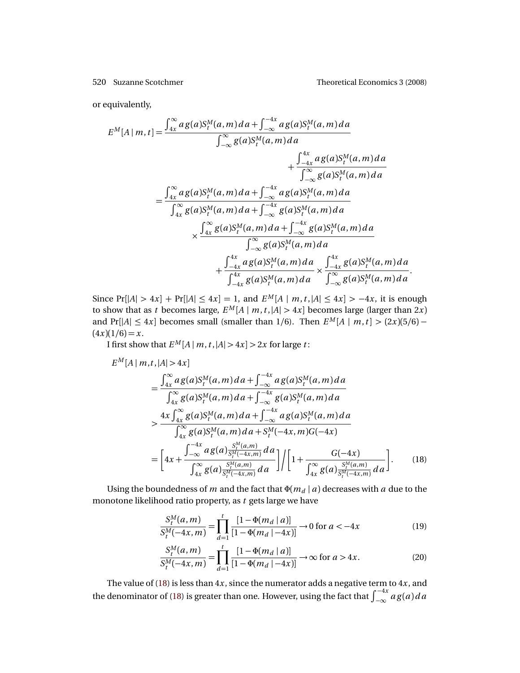or equivalently,

$$
E^{M}[A|m,t] = \frac{\int_{4x}^{\infty} a g(a) S_{t}^{M}(a,m) da + \int_{-\infty}^{-4x} a g(a) S_{t}^{M}(a,m) da}{\int_{-\infty}^{\infty} g(a) S_{t}^{M}(a,m) da} + \frac{\int_{-4x}^{4x} a g(a) S_{t}^{M}(a,m) da}{\int_{-\infty}^{\infty} g(a) S_{t}^{M}(a,m) da} \n= \frac{\int_{4x}^{\infty} a g(a) S_{t}^{M}(a,m) da + \int_{-\infty}^{-4x} a g(a) S_{t}^{M}(a,m) da}{\int_{4x}^{\infty} g(a) S_{t}^{M}(a,m) da + \int_{-\infty}^{-4x} g(a) S_{t}^{M}(a,m) da} \n\times \frac{\int_{4x}^{\infty} g(a) S_{t}^{M}(a,m) da + \int_{-\infty}^{-4x} g(a) S_{t}^{M}(a,m) da}{\int_{-\infty}^{\infty} g(a) S_{t}^{M}(a,m) da} + \frac{\int_{-4x}^{4x} a g(a) S_{t}^{M}(a,m) da}{\int_{-4x}^{4x} g(a) S_{t}^{M}(a,m) da} \times \frac{\int_{-4x}^{4x} g(a) S_{t}^{M}(a,m) da}{\int_{-\infty}^{\infty} g(a) S_{t}^{M}(a,m) da}.
$$

Since  $Pr[|A| > 4x] + Pr[|A| \le 4x] = 1$ , and  $E^M[A | m, t, |A| \le 4x] > -4x$ , it is enough to show that as *t* becomes large,  $E^M[A | m, t, |A| > 4x]$  becomes large (larger than 2*x*) and Pr[ $|A| \leq 4x$ ] becomes small (smaller than 1/6). Then  $E^M[A \mid m, t] > (2x)(5/6) (4x)(1/6) = x.$ 

I first show that  $E^M[A \mid m, t, |A| > 4x] > 2x$  for large *t*:

$$
E^{M}[A|m,t,|A|>4x]
$$
\n
$$
= \frac{\int_{4x}^{\infty} a g(a) S_{t}^{M}(a,m) da + \int_{-\infty}^{-4x} a g(a) S_{t}^{M}(a,m) da}{\int_{4x}^{\infty} g(a) S_{t}^{M}(a,m) da + \int_{-\infty}^{-4x} g(a) S_{t}^{M}(a,m) da}
$$
\n
$$
> \frac{4x \int_{4x}^{\infty} g(a) S_{t}^{M}(a,m) da + \int_{-\infty}^{-4x} a g(a) S_{t}^{M}(a,m) da}{\int_{4x}^{\infty} g(a) S_{t}^{M}(a,m) da + S_{t}^{M}(-4x,m) G(-4x)}
$$
\n
$$
= \left[ 4x + \frac{\int_{-\infty}^{-4x} a g(a) \frac{S_{t}^{M}(a,m)}{S_{t}^{M}(-4x,m)} da}{\int_{4x}^{\infty} g(a) \frac{S_{t}^{M}(a,m)}{S_{t}^{M}(-4x,m)} da} \right] / \left[ 1 + \frac{G(-4x)}{\int_{4x}^{\infty} g(a) \frac{S_{t}^{M}(a,m)}{S_{t}^{M}(-4x,m)} da} \right].
$$
\n(18)

Using the boundedness of *m* and the fact that  $\Phi(m_d | a)$  decreases with *a* due to the monotone likelihood ratio property, as *t* gets large we have

<span id="page-21-0"></span>
$$
\frac{S_t^M(a,m)}{S_t^M(-4x,m)} = \prod_{d=1}^t \frac{[1 - \Phi(m_d \mid a)]}{[1 - \Phi(m_d \mid -4x)]} \to 0 \text{ for } a < -4x
$$
 (19)

<span id="page-21-2"></span><span id="page-21-1"></span>
$$
\frac{S_t^M(a,m)}{S_t^M(-4x,m)} = \prod_{d=1}^t \frac{[1-\Phi(m_d | a)]}{[1-\Phi(m_d | -4x)]} \to \infty \text{ for } a > 4x.
$$
 (20)

The value of [\(18\)](#page-21-0) is less than 4*x*, since the numerator adds a negative term to 4*x*, and the denominator of [\(18\)](#page-21-0) is greater than one. However, using the fact that  $\int_{-\infty}^{-4x} a g(a) da$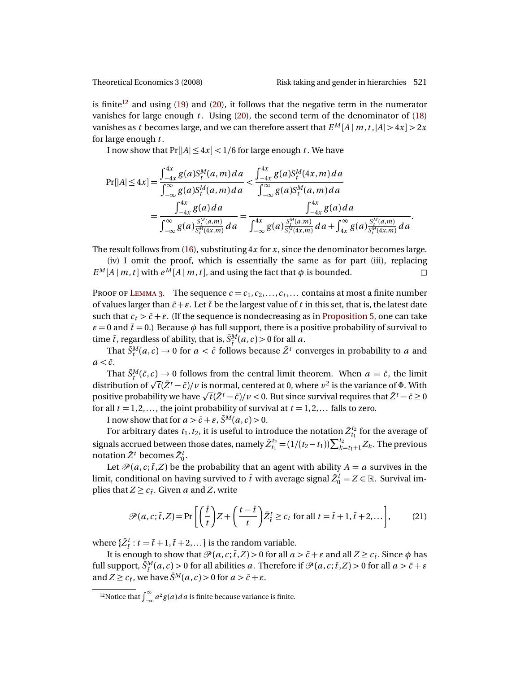is finite<sup>[12](#page-22-0)</sup> and using [\(19\)](#page-21-1) and [\(20\)](#page-21-2), it follows that the negative term in the numerator vanishes for large enough  $t$ . Using [\(20\)](#page-21-2), the second term of the denominator of [\(18\)](#page-21-0) vanishes as *t* becomes large, and we can therefore assert that  $E^M[A|m,t,|A| > 4x] > 2x$ for large enough *t* .

I now show that  $Pr[|A| \leq 4x] < 1/6$  for large enough *t*. We have

$$
\Pr[|A| \le 4x] = \frac{\int_{-4x}^{4x} g(a)S_t^M(a, m) da}{\int_{-\infty}^{\infty} g(a)S_t^M(a, m) da} < \frac{\int_{-4x}^{4x} g(a)S_t^M(4x, m) da}{\int_{-\infty}^{\infty} g(a)S_t^M(a, m) da} \n= \frac{\int_{-4x}^{4x} g(a) da}{\int_{-\infty}^{\infty} g(a) \frac{S_t^M(a, m)}{S_t^M(4x, m)} da} = \frac{\int_{-4x}^{4x} g(a) da}{\int_{-\infty}^{4x} g(a) \frac{S_t^M(a, m)}{S_t^M(4x, m)} da + \int_{4x}^{\infty} g(a) \frac{S_t^M(a, m)}{S_t^M(4x, m)} da}.
$$

The result follows from [\(16\)](#page-20-2), substituting 4*x* for *x*, since the denominator becomes large.

(iv) I omit the proof, which is essentially the same as for part (iii), replacing  $E^M[A \mid m, t]$  with  $e^M[A \mid m, t]$ , and using the fact that  $\phi$  is bounded.

PROOF OF LEMMA 3. The sequence  $c = c_1, c_2, \ldots, c_t, \ldots$  contains at most a finite number of values larger than  $\bar{c}$  +  $\epsilon$ . Let  $\bar{t}$  be the largest value of  $t$  in this set, that is, the latest date such that  $c_t > \bar{c} + \varepsilon$ . (If the sequence is nondecreasing as in [Proposition 5,](#page-11-1) one can take  $\epsilon$  = 0 and  $\bar{t}$  = 0.) Because  $\phi$  has full support, there is a positive probability of survival to time  $\bar{t}$ , regardless of ability, that is,  $\bar{S}^M_{\bar{t}}(a, c) > 0$  for all  $a$ .

That  $\bar{S}^M_t(a,c) \to 0$  for  $a < \bar{c}$  follows because  $\bar{Z}^t$  converges in probability to *a* and  $a < \bar{c}$ .

That  $\bar{S}^M_t(\bar{c}, c) \to 0$  follows from the central limit theorem. When  $a = \bar{c}$ , the limit  $\alpha$  is the variance of  $\sqrt{t}$ ( $\overline{z}$ ,  $\alpha$ )  $\rightarrow$  0 10110ws from the central fimit theorem. When *a* = *c*, the fimit distribution of  $\sqrt{t}$ ( $\overline{z}$ <sup>*t*</sup> −  $\overline{c}$ )/*v* is normal, centered at 0, where *v*<sup>2</sup> is th distribution of  $\sqrt{}$  *t* (*Z* ′ − *c* )/ *v* is normal, centered at 0, where *v* − is the variance of  $\Phi$ . With<br>positive probability we have  $\sqrt{}$  *t*( $\bar{Z}^t$  − *č*)/*v* < 0. But since survival requires that  $\bar{Z}^t$ for all  $t = 1, 2, \ldots$ , the joint probability of survival at  $t = 1, 2, \ldots$  falls to zero.

I now show that for  $a > \bar{c} + \varepsilon$ ,  $\bar{S}^M(a, c) > 0$ .

For arbitrary dates  $t_1, t_2$ , it is useful to introduce the notation  $\bar{Z}_{t_1}^{t_2}$  for the average of signals accrued between those dates, namely  $\bar{Z}_{t_1}^{t_2} = (1/(t_2 - t_1))\sum_{k=t_1+1}^{t_2} Z_k$ . The previous notation  $\bar{Z}^t$  becomes  $\bar{Z}^t_0$ .

Let  $\mathcal{P}(a, c; \overline{t}, Z)$  be the probability that an agent with ability  $A = a$  survives in the limit, conditional on having survived to  $\bar{t}$  with average signal  $\bar{Z}_{0}^{\bar{t}}=Z\in\mathbb{R}.$  Survival implies that  $Z \geq c_{\bar{t}}$ . Given *a* and *Z*, write

<span id="page-22-1"></span>
$$
\mathcal{P}(a, c; \overline{t}, Z) = \Pr\left[\left(\frac{\overline{t}}{t}\right)Z + \left(\frac{t - \overline{t}}{t}\right)\overline{Z}_t^t \ge c_t \text{ for all } t = \overline{t} + 1, \overline{t} + 2, \dots\right],\tag{21}
$$

where  $\{\bar{Z}_\bar{t}^t : t = \bar{t} + 1, \bar{t} + 2, ...\}$  is the random variable.

It is enough to show that  $\mathcal{P}(a, c; \bar{t}, Z) > 0$  for all  $a > \bar{c} + \varepsilon$  and all  $Z \geq c_{\bar{t}}$ . Since  $\phi$  has full support,  $\bar{S}^M_{\bar{t}}(a,c)$  > 0 for all abilities *a*. Therefore if  $\mathcal{P}(a,c;\bar{t},Z)$  > 0 for all  $a > \bar{c} + \varepsilon$ and  $Z \ge c_{\bar{t}}$ , we have  $\bar{S}^M(a, c) > 0$  for  $a > \bar{c} + \varepsilon$ .

<span id="page-22-0"></span><sup>&</sup>lt;sup>12</sup>Notice that  $\int_{-\infty}^{\infty} a^2 g(a) da$  is finite because variance is finite.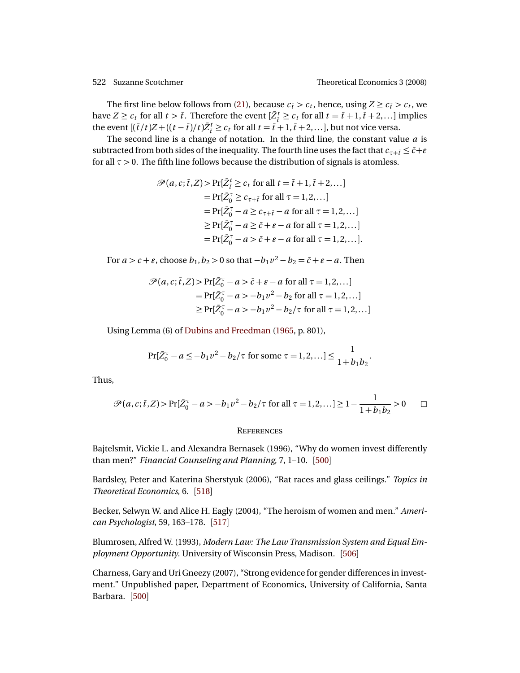<span id="page-23-5"></span>The first line below follows from [\(21\)](#page-22-1), because  $c_i > c_t$ , hence, using  $Z \ge c_i > c_t$ , we have  $Z \geq c_t$  for all  $t > \bar{t}$ . Therefore the event  $[\bar{Z}_t^t \geq c_t$  for all  $t = \bar{t} + 1, \bar{t} + 2,...]$  implies the event  $[(\bar{t}/t)Z + ((t-\bar{t})/t)\bar{Z}_{\bar{t}}^t \ge c_t \text{ for all } t = \bar{t}+1, \bar{t}+2,...],$  but not vice versa.

The second line is a change of notation. In the third line, the constant value *a* is subtracted from both sides of the inequality. The fourth line uses the fact that  $c_{\tau+\bar{i}} \leq \bar{c} + \varepsilon$ for all  $\tau > 0$ . The fifth line follows because the distribution of signals is atomless.

$$
\mathcal{P}(a, c; \overline{t}, Z) > \Pr[\overline{Z}_{\overline{t}}^t \ge c_t \text{ for all } t = \overline{t} + 1, \overline{t} + 2, \dots]
$$
  
\n
$$
= \Pr[\overline{Z}_{0}^{\tau} \ge c_{\tau + \overline{t}} \text{ for all } \tau = 1, 2, \dots]
$$
  
\n
$$
= \Pr[\overline{Z}_{0}^{\tau} - a \ge c_{\tau + \overline{t}} - a \text{ for all } \tau = 1, 2, \dots]
$$
  
\n
$$
\ge \Pr[\overline{Z}_{0}^{\tau} - a \ge \overline{c} + \varepsilon - a \text{ for all } \tau = 1, 2, \dots]
$$
  
\n
$$
= \Pr[\overline{Z}_{0}^{\tau} - a > \overline{c} + \varepsilon - a \text{ for all } \tau = 1, 2, \dots].
$$

For  $a > c + \varepsilon$ , choose  $b_1, b_2 > 0$  so that  $-b_1v^2 - b_2 = \bar{c} + \varepsilon - a$ . Then

$$
\mathcal{P}(a, c; \bar{t}, Z) > \Pr[\bar{Z}_0^{\tau} - a > \bar{c} + \varepsilon - a \text{ for all } \tau = 1, 2, ...]
$$
  
=  $\Pr[\bar{Z}_0^{\tau} - a > -b_1 v^2 - b_2 \text{ for all } \tau = 1, 2, ...]$   
 $\ge \Pr[\bar{Z}_0^{\tau} - a > -b_1 v^2 - b_2/\tau \text{ for all } \tau = 1, 2, ...]$ 

Using Lemma (6) of [Dubins and Freedman](#page-24-13) [\(1965,](#page-24-13) p. 801),

$$
\Pr[\bar{Z}_0^{\tau} - a \le -b_1 v^2 - b_2/\tau \text{ for some } \tau = 1, 2, \dots] \le \frac{1}{1 + b_1 b_2}.
$$

Thus,

$$
\mathcal{P}(a, c; \bar{t}, Z) > \Pr[\bar{Z}_0^{\tau} - a > -b_1 v^2 - b_2/\tau \text{ for all } \tau = 1, 2, \dots] \ge 1 - \frac{1}{1 + b_1 b_2} > 0 \qquad \Box
$$

#### **REFERENCES**

<span id="page-23-0"></span>Bajtelsmit, Vickie L. and Alexandra Bernasek (1996), "Why do women invest differently than men?" *Financial Counseling and Planning*, 7, 1–10. [[500](#page-1-1)]

<span id="page-23-4"></span>Bardsley, Peter and Katerina Sherstyuk (2006), "Rat races and glass ceilings." *Topics in Theoretical Economics*, 6. [[518](#page-19-2)]

<span id="page-23-3"></span>Becker, Selwyn W. and Alice H. Eagly (2004), "The heroism of women and men." *American Psychologist*, 59, 163–178. [[517](#page-18-0)]

<span id="page-23-2"></span>Blumrosen, Alfred W. (1993), *Modern Law: The Law Transmission System and Equal Employment Opportunity*. University of Wisconsin Press, Madison. [[506](#page-7-6)]

<span id="page-23-1"></span>Charness, Gary and Uri Gneezy (2007), "Strong evidence for gender differences in investment." Unpublished paper, Department of Economics, University of California, Santa Barbara. [[500](#page-1-1)]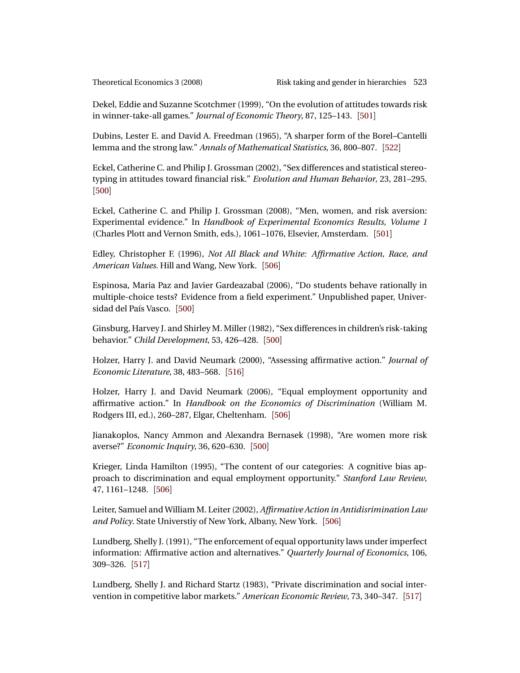<span id="page-24-5"></span>Dekel, Eddie and Suzanne Scotchmer (1999), "On the evolution of attitudes towards risk in winner-take-all games." *Journal of Economic Theory*, 87, 125–143. [[501](#page-2-2)]

<span id="page-24-13"></span>Dubins, Lester E. and David A. Freedman (1965), "A sharper form of the Borel–Cantelli lemma and the strong law." *Annals of Mathematical Statistics*, 36, 800–807. [[522](#page-23-5)]

<span id="page-24-0"></span>Eckel, Catherine C. and Philip J. Grossman (2002), "Sex differences and statistical stereotyping in attitudes toward financial risk." *Evolution and Human Behavior*, 23, 281–295. [[500](#page-1-1)]

<span id="page-24-4"></span>Eckel, Catherine C. and Philip J. Grossman (2008), "Men, women, and risk aversion: Experimental evidence." In *Handbook of Experimental Economics Results, Volume 1* (Charles Plott and Vernon Smith, eds.), 1061–1076, Elsevier, Amsterdam. [[501](#page-2-2)]

<span id="page-24-9"></span>Edley, Christopher F. (1996), *Not All Black and White: Affirmative Action, Race, and American Values*. Hill and Wang, New York. [[506](#page-7-6)]

<span id="page-24-3"></span>Espinosa, Maria Paz and Javier Gardeazabal (2006), "Do students behave rationally in multiple-choice tests? Evidence from a field experiment." Unpublished paper, Universidad del País Vasco. [[500](#page-1-1)]

<span id="page-24-2"></span>Ginsburg, Harvey J. and Shirley M. Miller (1982), "Sex differences in children's risk-taking behavior." *Child Development*, 53, 426–428. [[500](#page-1-1)]

<span id="page-24-10"></span>Holzer, Harry J. and David Neumark (2000), "Assessing affirmative action." *Journal of Economic Literature*, 38, 483–568. [[516](#page-17-0)]

<span id="page-24-6"></span>Holzer, Harry J. and David Neumark (2006), "Equal employment opportunity and affirmative action." In *Handbook on the Economics of Discrimination* (William M. Rodgers III, ed.), 260–287, Elgar, Cheltenham. [[506](#page-7-6)]

<span id="page-24-1"></span>Jianakoplos, Nancy Ammon and Alexandra Bernasek (1998), "Are women more risk averse?" *Economic Inquiry*, 36, 620–630. [[500](#page-1-1)]

<span id="page-24-7"></span>Krieger, Linda Hamilton (1995), "The content of our categories: A cognitive bias approach to discrimination and equal employment opportunity." *Stanford Law Review*, 47, 1161–1248. [[506](#page-7-6)]

<span id="page-24-8"></span>Leiter, Samuel and William M. Leiter (2002), *Affirmative Action in Antidisrimination Law and Policy*. State Universtiy of New York, Albany, New York. [[506](#page-7-6)]

<span id="page-24-12"></span>Lundberg, Shelly J. (1991), "The enforcement of equal opportunity laws under imperfect information: Affirmative action and alternatives." *Quarterly Journal of Economics*, 106, 309–326. [[517](#page-18-0)]

<span id="page-24-11"></span>Lundberg, Shelly J. and Richard Startz (1983), "Private discrimination and social intervention in competitive labor markets." *American Economic Review*, 73, 340–347. [[517](#page-18-0)]